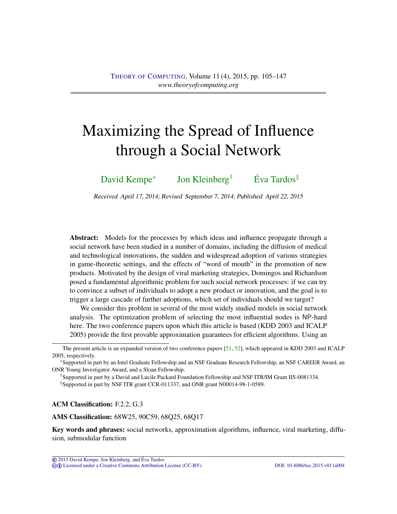# <span id="page-0-1"></span><span id="page-0-0"></span>Maximizing the Spread of Influence through a Social Network

[David Kempe](#page-41-0)<sup>∗</sup> [Jon Kleinberg](#page-41-1)† [Éva Tardos](#page-41-2)‡

Received April 17, 2014; Revised September 7, 2014; Published April 22, 2015

Abstract: Models for the processes by which ideas and influence propagate through a social network have been studied in a number of domains, including the diffusion of medical and technological innovations, the sudden and widespread adoption of various strategies in game-theoretic settings, and the effects of "word of mouth" in the promotion of new products. Motivated by the design of viral marketing strategies, Domingos and Richardson posed a fundamental algorithmic problem for such social network processes: if we can try to convince a subset of individuals to adopt a new product or innovation, and the goal is to trigger a large cascade of further adoptions, which set of individuals should we target?

We consider this problem in several of the most widely studied models in social network analysis. The optimization problem of selecting the most influential nodes is NP-hard here. The two conference papers upon which this article is based (KDD 2003 and ICALP 2005) provide the first provable approximation guarantees for efficient algorithms. Using an

†Supported in part by a David and Lucile Packard Foundation Fellowship and NSF ITR/IM Grant IIS-0081334.

‡Supported in part by NSF ITR grant CCR-011337, and ONR grant N00014-98-1-0589.

ACM Classification: F.2.2, G.3

AMS Classification: 68W25, 90C59, 68Q25, 68Q17

Key words and phrases: social networks, approximation algorithms, influence, viral marketing, diffusion, submodular function

The present article is an expanded version of two conference papers [\[51,](#page-38-0) [52\]](#page-38-1), which appeared in KDD 2003 and ICALP 2005, respectively.

<sup>∗</sup>Supported in part by an Intel Graduate Fellowship and an NSF Graduate Research Fellowship, an NSF CAREER Award, an ONR Young Investigator Award, and a Sloan Fellowship.

<sup>©</sup> [2015 David Kempe, Jon Kleinberg, and](http://theoryofcomputing.org/copyright2009.html) Eva Tardos ´ cb [Licensed under a Creative Commons Attribution License \(CC-BY\)](http://creativecommons.org/licenses/by/3.0/) [DOI: 10.4086/toc.2015.v011a004](http://dx.doi.org/10.4086/toc.2015.v011a004)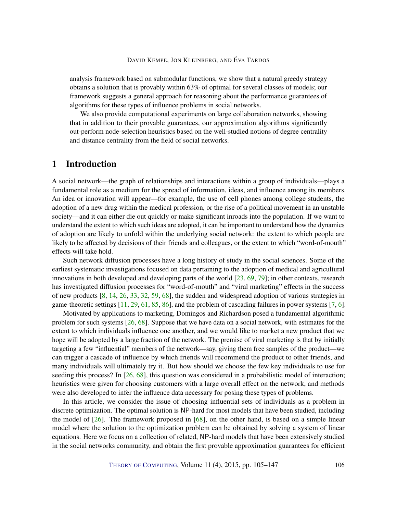<span id="page-1-1"></span>analysis framework based on submodular functions, we show that a natural greedy strategy obtains a solution that is provably within 63% of optimal for several classes of models; our framework suggests a general approach for reasoning about the performance guarantees of algorithms for these types of influence problems in social networks.

We also provide computational experiments on large collaboration networks, showing that in addition to their provable guarantees, our approximation algorithms significantly out-perform node-selection heuristics based on the well-studied notions of degree centrality and distance centrality from the field of social networks.

# <span id="page-1-0"></span>1 Introduction

A social network—the graph of relationships and interactions within a group of individuals—plays a fundamental role as a medium for the spread of information, ideas, and influence among its members. An idea or innovation will appear—for example, the use of cell phones among college students, the adoption of a new drug within the medical profession, or the rise of a political movement in an unstable society—and it can either die out quickly or make significant inroads into the population. If we want to understand the extent to which such ideas are adopted, it can be important to understand how the dynamics of adoption are likely to unfold within the underlying social network: the extent to which people are likely to be affected by decisions of their friends and colleagues, or the extent to which "word-of-mouth" effects will take hold.

Such network diffusion processes have a long history of study in the social sciences. Some of the earliest systematic investigations focused on data pertaining to the adoption of medical and agricultural innovations in both developed and developing parts of the world [\[23,](#page-36-0) [69,](#page-39-0) [79\]](#page-40-0); in other contexts, research has investigated diffusion processes for "word-of-mouth" and "viral marketing" effects in the success of new products [\[8,](#page-35-0) [14,](#page-35-1) [26,](#page-36-1) [33,](#page-36-2) [32,](#page-36-3) [59,](#page-39-1) [68\]](#page-39-2), the sudden and widespread adoption of various strategies in game-theoretic settings  $[11, 29, 61, 85, 86]$  $[11, 29, 61, 85, 86]$  $[11, 29, 61, 85, 86]$  $[11, 29, 61, 85, 86]$  $[11, 29, 61, 85, 86]$  $[11, 29, 61, 85, 86]$  $[11, 29, 61, 85, 86]$  $[11, 29, 61, 85, 86]$  $[11, 29, 61, 85, 86]$ , and the problem of cascading failures in power systems  $[7, 6]$  $[7, 6]$  $[7, 6]$ .

Motivated by applications to marketing, Domingos and Richardson posed a fundamental algorithmic problem for such systems  $[26, 68]$  $[26, 68]$  $[26, 68]$ . Suppose that we have data on a social network, with estimates for the extent to which individuals influence one another, and we would like to market a new product that we hope will be adopted by a large fraction of the network. The premise of viral marketing is that by initially targeting a few "influential" members of the network—say, giving them free samples of the product—we can trigger a cascade of influence by which friends will recommend the product to other friends, and many individuals will ultimately try it. But how should we choose the few key individuals to use for seeding this process? In [\[26,](#page-36-1) [68\]](#page-39-2), this question was considered in a probabilistic model of interaction; heuristics were given for choosing customers with a large overall effect on the network, and methods were also developed to infer the influence data necessary for posing these types of problems.

In this article, we consider the issue of choosing influential sets of individuals as a problem in discrete optimization. The optimal solution is NP-hard for most models that have been studied, including the model of [\[26\]](#page-36-1). The framework proposed in [\[68\]](#page-39-2), on the other hand, is based on a simple linear model where the solution to the optimization problem can be obtained by solving a system of linear equations. Here we focus on a collection of related, NP-hard models that have been extensively studied in the social networks community, and obtain the first provable approximation guarantees for efficient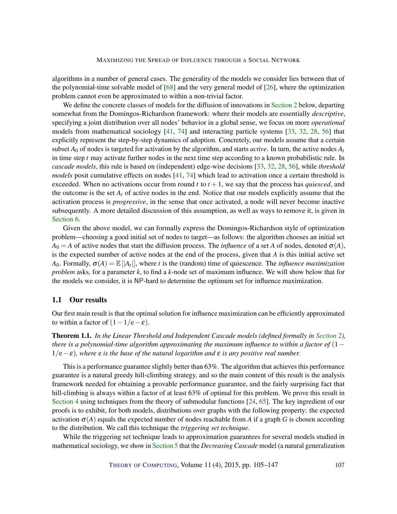<span id="page-2-1"></span>algorithms in a number of general cases. The generality of the models we consider lies between that of the polynomial-time solvable model of  $[68]$  and the very general model of  $[26]$ , where the optimization problem cannot even be approximated to within a non-trivial factor.

We define the concrete classes of models for the diffusion of innovations in [Section](#page-6-0) [2](#page-6-0) below, departing somewhat from the Domingos-Richardson framework: where their models are essentially *descriptive*, specifying a joint distribution over all nodes' behavior in a global sense, we focus on more *operational* models from mathematical sociology [\[41,](#page-37-0) [74\]](#page-40-1) and interacting particle systems [\[33,](#page-36-2) [32,](#page-36-3) [28,](#page-36-5) [56\]](#page-38-2) that explicitly represent the step-by-step dynamics of adoption. Concretely, our models assume that a certain subset  $A_0$  of nodes is targeted for activation by the algorithm, and starts *active*. In turn, the active nodes  $A_t$ in time step *t* may activate further nodes in the next time step according to a known probabilistic rule. In *cascade models*, this rule is based on (independent) edge-wise decisions [\[33,](#page-36-2) [32,](#page-36-3) [28,](#page-36-5) [56\]](#page-38-2), while *threshold models* posit cumulative effects on nodes [\[41,](#page-37-0) [74\]](#page-40-1) which lead to activation once a certain threshold is exceeded. When no activations occur from round  $t$  to  $t + 1$ , we say that the process has *quiesced*, and the outcome is the set  $A_t$  of active nodes in the end. Notice that our models explicitly assume that the activation process is *progressive*, in the sense that once activated, a node will never become inactive subsequently. A more detailed discussion of this assumption, as well as ways to remove it, is given in [Section](#page-21-0) [6.](#page-21-0)

Given the above model, we can formally express the Domingos-Richardson style of optimization problem—choosing a good initial set of nodes to target—as follows: the algorithm chooses an initial set  $A_0 = A$  of active nodes that start the diffusion process. The *influence* of a set *A* of nodes, denoted  $\sigma(A)$ , is the expected number of active nodes at the end of the process, given that *A* is this initial active set *A*<sub>0</sub>. Formally,  $\sigma(A) = \mathbb{E}[A_t|]$ , where *t* is the (random) time of quiescence. The *influence maximization problem* asks, for a parameter *k*, to find a *k*-node set of maximum influence. We will show below that for the models we consider, it is NP-hard to determine the optimum set for influence maximization.

#### 1.1 Our results

Our first main result is that the optimal solution for influence maximization can be efficiently approximated to within a factor of  $(1-1/e-\epsilon)$ .

<span id="page-2-0"></span>Theorem 1.1. *In the Linear Threshold and Independent Cascade models (defined formally in [Section](#page-6-0) [2\)](#page-6-0), there is a polynomial-time algorithm approximating the maximum influence to within a factor of* (1− 1/e−ε)*, where* e *is the base of the natural logarithm and* ε *is any positive real number.*

This is a performance guarantee slightly better than 63%. The algorithm that achieves this performance guarantee is a natural greedy hill-climbing strategy, and so the main content of this result is the analysis framework needed for obtaining a provable performance guarantee, and the fairly surprising fact that hill-climbing is always within a factor of at least 63% of optimal for this problem. We prove this result in [Section](#page-13-0) [4](#page-13-0) using techniques from the theory of submodular functions [\[24,](#page-36-6) [65\]](#page-39-4). The key ingredient of our proofs is to exhibit, for both models, distributions over graphs with the following property: the expected activation  $\sigma(A)$  equals the expected number of nodes reachable from *A* if a graph *G* is chosen according to the distribution. We call this technique the *triggering set technique*.

While the triggering set technique leads to approximation guarantees for several models studied in mathematical sociology, we show in [Section](#page-18-0) [5](#page-18-0) that the *Decreasing Cascade* model (a natural generalization

THEORY OF C[OMPUTING](http://dx.doi.org/10.4086/toc), Volume 11 (4), 2015, pp. 105–147 107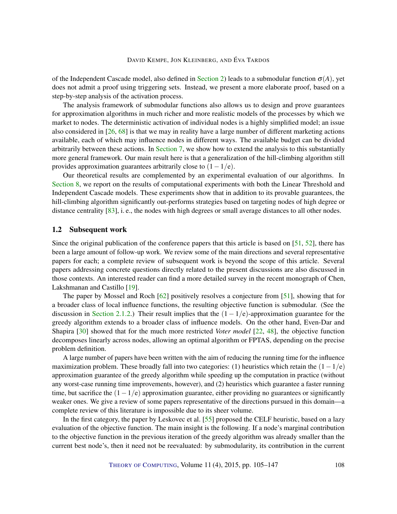<span id="page-3-1"></span>of the Independent Cascade model, also defined in [Section](#page-6-0) [2\)](#page-6-0) leads to a submodular function  $\sigma(A)$ , yet does not admit a proof using triggering sets. Instead, we present a more elaborate proof, based on a step-by-step analysis of the activation process.

The analysis framework of submodular functions also allows us to design and prove guarantees for approximation algorithms in much richer and more realistic models of the processes by which we market to nodes. The deterministic activation of individual nodes is a highly simplified model; an issue also considered in [\[26,](#page-36-1) [68\]](#page-39-2) is that we may in reality have a large number of different marketing actions available, each of which may influence nodes in different ways. The available budget can be divided arbitrarily between these actions. In [Section](#page-23-0) [7,](#page-23-0) we show how to extend the analysis to this substantially more general framework. Our main result here is that a generalization of the hill-climbing algorithm still provides approximation guarantees arbitrarily close to  $(1-1/e)$ .

Our theoretical results are complemented by an experimental evaluation of our algorithms. In [Section](#page-28-0) [8,](#page-28-0) we report on the results of computational experiments with both the Linear Threshold and Independent Cascade models. These experiments show that in addition to its provable guarantees, the hill-climbing algorithm significantly out-performs strategies based on targeting nodes of high degree or distance centrality [\[83\]](#page-41-5), i. e., the nodes with high degrees or small average distances to all other nodes.

#### <span id="page-3-0"></span>1.2 Subsequent work

Since the original publication of the conference papers that this article is based on [\[51,](#page-38-0) [52\]](#page-38-1), there has been a large amount of follow-up work. We review some of the main directions and several representative papers for each; a complete review of subsequent work is beyond the scope of this article. Several papers addressing concrete questions directly related to the present discussions are also discussed in those contexts. An interested reader can find a more detailed survey in the recent monograph of Chen, Lakshmanan and Castillo [\[19\]](#page-35-3).

The paper by Mossel and Roch [\[62\]](#page-39-5) positively resolves a conjecture from [\[51\]](#page-38-0), showing that for a broader class of local influence functions, the resulting objective function is submodular. (See the discussion in [Section](#page-7-0) [2.1.2.](#page-7-0)) Their result implies that the  $(1 - 1/e)$ -approximation guarantee for the greedy algorithm extends to a broader class of influence models. On the other hand, Even-Dar and Shapira [\[30\]](#page-36-7) showed that for the much more restricted *Voter model* [\[22,](#page-36-8) [48\]](#page-38-3), the objective function decomposes linearly across nodes, allowing an optimal algorithm or FPTAS, depending on the precise problem definition.

A large number of papers have been written with the aim of reducing the running time for the influence maximization problem. These broadly fall into two categories: (1) heuristics which retain the  $(1-1/e)$ approximation guarantee of the greedy algorithm while speeding up the computation in practice (without any worst-case running time improvements, however), and (2) heuristics which guarantee a faster running time, but sacrifice the  $(1-1/e)$  approximation guarantee, either providing no guarantees or significantly weaker ones. We give a review of some papers representative of the directions pursued in this domain—a complete review of this literature is impossible due to its sheer volume.

In the first category, the paper by Leskovec et al. [\[55\]](#page-38-4) proposed the CELF heuristic, based on a lazy evaluation of the objective function. The main insight is the following. If a node's marginal contribution to the objective function in the previous iteration of the greedy algorithm was already smaller than the current best node's, then it need not be reevaluated: by submodularity, its contribution in the current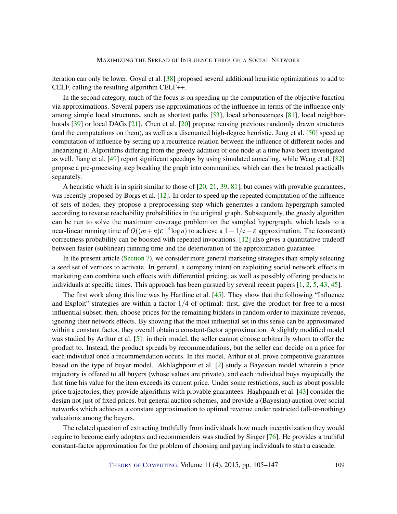<span id="page-4-0"></span>iteration can only be lower. Goyal et al. [\[38\]](#page-37-1) proposed several additional heuristic optimizations to add to CELF, calling the resulting algorithm CELF++.

In the second category, much of the focus is on speeding up the computation of the objective function via approximations. Several papers use approximations of the influence in terms of the influence only among simple local structures, such as shortest paths [\[53\]](#page-38-5), local arborescences [\[81\]](#page-40-2), local neighbor-hoods [\[39\]](#page-37-2) or local DAGs [\[21\]](#page-36-9). Chen et al. [\[20\]](#page-35-4) propose reusing previous randomly drawn structures (and the computations on them), as well as a discounted high-degree heuristic. Jung et al. [\[50\]](#page-38-6) speed up computation of influence by setting up a recurrence relation between the influence of different nodes and linearizing it. Algorithms differing from the greedy addition of one node at a time have been investigated as well. Jiang et al. [\[49\]](#page-38-7) report significant speedups by using simulated annealing, while Wang et al. [\[82\]](#page-40-3) propose a pre-processing step breaking the graph into communities, which can then be treated practically separately.

A heuristic which is in spirit similar to those of  $[20, 21, 39, 81]$  $[20, 21, 39, 81]$  $[20, 21, 39, 81]$  $[20, 21, 39, 81]$  $[20, 21, 39, 81]$  $[20, 21, 39, 81]$  $[20, 21, 39, 81]$ , but comes with provable guarantees, was recently proposed by Borgs et al. [\[12\]](#page-35-5). In order to speed up the repeated computation of the influence of sets of nodes, they propose a preprocessing step which generates a random hypergraph sampled according to reverse reachability probabilities in the original graph. Subsequently, the greedy algorithm can be run to solve the maximum coverage problem on the sampled hypergraph, which leads to a near-linear running time of  $O((m+n)\varepsilon^{-3}\log n)$  to achieve a  $1-1/e-\varepsilon$  approximation. The (constant) correctness probability can be boosted with repeated invocations. [\[12\]](#page-35-5) also gives a quantitative tradeoff between faster (sublinear) running time and the deterioration of the approximation guarantee.

In the present article [\(Section](#page-23-0) [7\)](#page-23-0), we consider more general marketing strategies than simply selecting a seed set of vertices to activate. In general, a company intent on exploiting social network effects in marketing can combine such effects with differential pricing, as well as possibly offering products to individuals at specific times. This approach has been pursued by several recent papers [\[1,](#page-34-2) [2,](#page-34-3) [5,](#page-34-4) [43,](#page-37-3) [45\]](#page-37-4).

The first work along this line was by Hartline et al. [\[45\]](#page-37-4). They show that the following "Influence" and Exploit" strategies are within a factor  $1/4$  of optimal: first, give the product for free to a most influential subset; then, choose prices for the remaining bidders in random order to maximize revenue, ignoring their network effects. By showing that the most influential set in this sense can be approximated within a constant factor, they overall obtain a constant-factor approximation. A slightly modified model was studied by Arthur et al. [\[5\]](#page-34-4): in their model, the seller cannot choose arbitrarily whom to offer the product to. Instead, the product spreads by recommendations, but the seller can decide on a price for each individual once a recommendation occurs. In this model, Arthur et al. prove competitive guarantees based on the type of buyer model. Akhlaghpour et al. [\[2\]](#page-34-3) study a Bayesian model wherein a price trajectory is offered to all buyers (whose values are private), and each individual buys myopically the first time his value for the item exceeds its current price. Under some restrictions, such as about possible price trajectories, they provide algorithms with provable guarantees. Haghpanah et al. [\[43\]](#page-37-3) consider the design not just of fixed prices, but general auction schemes, and provide a (Bayesian) auction over social networks which achieves a constant approximation to optimal revenue under restricted (all-or-nothing) valuations among the buyers.

The related question of extracting truthfully from individuals how much incentivization they would require to become early adopters and recommenders was studied by Singer [\[76\]](#page-40-4). He provides a truthful constant-factor approximation for the problem of choosing and paying individuals to start a cascade.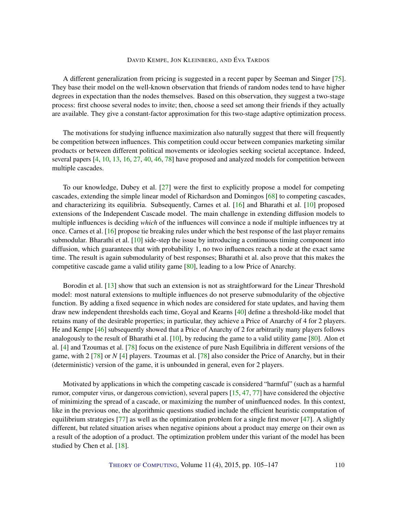<span id="page-5-0"></span>A different generalization from pricing is suggested in a recent paper by Seeman and Singer [\[75\]](#page-40-5). They base their model on the well-known observation that friends of random nodes tend to have higher degrees in expectation than the nodes themselves. Based on this observation, they suggest a two-stage process: first choose several nodes to invite; then, choose a seed set among their friends if they actually are available. They give a constant-factor approximation for this two-stage adaptive optimization process.

The motivations for studying influence maximization also naturally suggest that there will frequently be competition between influences. This competition could occur between companies marketing similar products or between different political movements or ideologies seeking societal acceptance. Indeed, several papers [\[4,](#page-34-5) [10,](#page-35-6) [13,](#page-35-7) [16,](#page-35-8) [27,](#page-36-10) [40,](#page-37-5) [46,](#page-38-8) [78\]](#page-40-6) have proposed and analyzed models for competition between multiple cascades.

To our knowledge, Dubey et al. [\[27\]](#page-36-10) were the first to explicitly propose a model for competing cascades, extending the simple linear model of Richardson and Domingos [\[68\]](#page-39-2) to competing cascades, and characterizing its equilibria. Subsequently, Carnes et al. [\[16\]](#page-35-8) and Bharathi et al. [\[10\]](#page-35-6) proposed extensions of the Independent Cascade model. The main challenge in extending diffusion models to multiple influences is deciding *which* of the influences will convince a node if multiple influences try at once. Carnes et al. [\[16\]](#page-35-8) propose tie breaking rules under which the best response of the last player remains submodular. Bharathi et al. [\[10\]](#page-35-6) side-step the issue by introducing a continuous timing component into diffusion, which guarantees that with probability 1, no two influences reach a node at the exact same time. The result is again submodularity of best responses; Bharathi et al. also prove that this makes the competitive cascade game a valid utility game [\[80\]](#page-40-7), leading to a low Price of Anarchy.

Borodin et al. [\[13\]](#page-35-7) show that such an extension is not as straightforward for the Linear Threshold model: most natural extensions to multiple influences do not preserve submodularity of the objective function. By adding a fixed sequence in which nodes are considered for state updates, and having them draw new independent thresholds each time, Goyal and Kearns [\[40\]](#page-37-5) define a threshold-like model that retains many of the desirable properties; in particular, they achieve a Price of Anarchy of 4 for 2 players. He and Kempe [\[46\]](#page-38-8) subsequently showed that a Price of Anarchy of 2 for arbitrarily many players follows analogously to the result of Bharathi et al. [\[10\]](#page-35-6), by reducing the game to a valid utility game [\[80\]](#page-40-7). Alon et al. [\[4\]](#page-34-5) and Tzoumas et al. [\[78\]](#page-40-6) focus on the existence of pure Nash Equilibria in different versions of the game, with 2 [\[78\]](#page-40-6) or *N* [\[4\]](#page-34-5) players. Tzoumas et al. [\[78\]](#page-40-6) also consider the Price of Anarchy, but in their (deterministic) version of the game, it is unbounded in general, even for 2 players.

Motivated by applications in which the competing cascade is considered "harmful" (such as a harmful rumor, computer virus, or dangerous conviction), several papers [\[15,](#page-35-9) [47,](#page-38-9) [77\]](#page-40-8) have considered the objective of minimizing the spread of a cascade, or maximizing the number of uninfluenced nodes. In this context, like in the previous one, the algorithmic questions studied include the efficient heuristic computation of equilibrium strategies [\[77\]](#page-40-8) as well as the optimization problem for a single first mover [\[47\]](#page-38-9). A slightly different, but related situation arises when negative opinions about a product may emerge on their own as a result of the adoption of a product. The optimization problem under this variant of the model has been studied by Chen et al. [\[18\]](#page-35-10).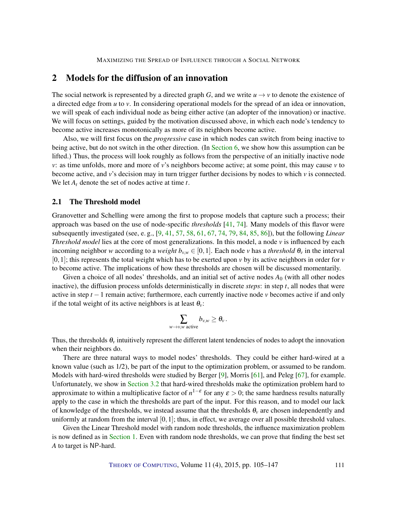# <span id="page-6-1"></span><span id="page-6-0"></span>2 Models for the diffusion of an innovation

The social network is represented by a directed graph *G*, and we write  $u \rightarrow v$  to denote the existence of a directed edge from *u* to *v*. In considering operational models for the spread of an idea or innovation, we will speak of each individual node as being either active (an adopter of the innovation) or inactive. We will focus on settings, guided by the motivation discussed above, in which each node's tendency to become active increases monotonically as more of its neighbors become active.

Also, we will first focus on the *progressive* case in which nodes can switch from being inactive to being active, but do not switch in the other direction. (In [Section](#page-21-0) [6,](#page-21-0) we show how this assumption can be lifted.) Thus, the process will look roughly as follows from the perspective of an initially inactive node *v*: as time unfolds, more and more of *v*'s neighbors become active; at some point, this may cause *v* to become active, and *v*'s decision may in turn trigger further decisions by nodes to which *v* is connected. We let *A<sup>t</sup>* denote the set of nodes active at time *t*.

#### 2.1 The Threshold model

Granovetter and Schelling were among the first to propose models that capture such a process; their approach was based on the use of node-specific *thresholds* [\[41,](#page-37-0) [74\]](#page-40-1). Many models of this flavor were subsequently investigated (see, e. g., [\[9,](#page-35-11) [41,](#page-37-0) [57,](#page-38-10) [58,](#page-39-6) [61,](#page-39-3) [67,](#page-39-7) [74,](#page-40-1) [79,](#page-40-0) [84,](#page-41-6) [85,](#page-41-3) [86\]](#page-41-4)), but the following *Linear Threshold model* lies at the core of most generalizations. In this model, a node *v* is influenced by each incoming neighbor *w* according to a *weight*  $b_{v,w} \in [0,1]$ . Each node *v* has a *threshold*  $\theta_v$  in the interval  $[0,1]$ ; this represents the total weight which has to be exerted upon *v* by its active neighbors in order for *v* to become active. The implications of how these thresholds are chosen will be discussed momentarily.

Given a choice of all nodes' thresholds, and an initial set of active nodes  $A_0$  (with all other nodes inactive), the diffusion process unfolds deterministically in discrete *steps*: in step *t*, all nodes that were active in step *t* −1 remain active; furthermore, each currently inactive node *v* becomes active if and only if the total weight of its active neighbors is at least  $\theta$ <sup>y</sup>:

$$
\sum_{w\to v,w \text{ active}} b_{v,w} \geq \theta_v.
$$

Thus, the thresholds  $\theta_\nu$  intuitively represent the different latent tendencies of nodes to adopt the innovation when their neighbors do.

There are three natural ways to model nodes' thresholds. They could be either hard-wired at a known value (such as 1/2), be part of the input to the optimization problem, or assumed to be random. Models with hard-wired thresholds were studied by Berger [\[9\]](#page-35-11), Morris [\[61\]](#page-39-3), and Peleg [\[67\]](#page-39-7), for example. Unfortunately, we show in [Section](#page-12-0) [3.2](#page-12-0) that hard-wired thresholds make the optimization problem hard to approximate to within a multiplicative factor of  $n^{1-\epsilon}$  for any  $\varepsilon > 0$ ; the same hardness results naturally apply to the case in which the thresholds are part of the input. For this reason, and to model our lack of knowledge of the thresholds, we instead assume that the thresholds  $\theta_\nu$  are chosen independently and uniformly at random from the interval  $[0,1]$ ; thus, in effect, we average over all possible threshold values.

Given the Linear Threshold model with random node thresholds, the influence maximization problem is now defined as in [Section](#page-1-0) [1.](#page-1-0) Even with random node thresholds, we can prove that finding the best set *A* to target is NP-hard.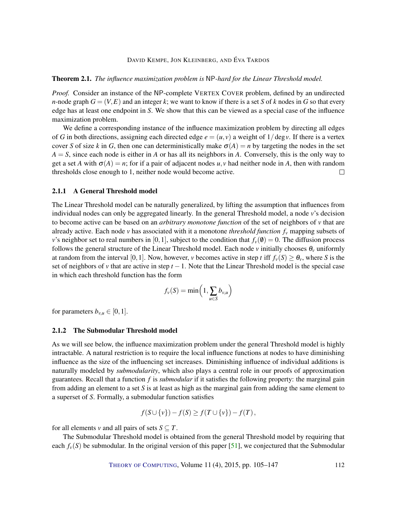#### <span id="page-7-1"></span>Theorem 2.1. *The influence maximization problem is* NP*-hard for the Linear Threshold model.*

*Proof.* Consider an instance of the NP-complete VERTEX COVER problem, defined by an undirected *n*-node graph  $G = (V, E)$  and an integer *k*; we want to know if there is a set *S* of *k* nodes in *G* so that every edge has at least one endpoint in *S*. We show that this can be viewed as a special case of the influence maximization problem.

We define a corresponding instance of the influence maximization problem by directing all edges of *G* in both directions, assigning each directed edge  $e = (u, v)$  a weight of  $1/\deg v$ . If there is a vertex cover *S* of size *k* in *G*, then one can deterministically make  $\sigma(A) = n$  by targeting the nodes in the set  $A = S$ , since each node is either in *A* or has all its neighbors in *A*. Conversely, this is the only way to get a set *A* with  $\sigma(A) = n$ ; for if a pair of adjacent nodes  $u, v$  had neither node in *A*, then with random thresholds close enough to 1, neither node would become active.  $\Box$ 

#### 2.1.1 A General Threshold model

The Linear Threshold model can be naturally generalized, by lifting the assumption that influences from individual nodes can only be aggregated linearly. In the general Threshold model, a node *v*'s decision to become active can be based on an *arbitrary monotone function* of the set of neighbors of *v* that are already active. Each node *v* has associated with it a monotone *threshold function f<sup>v</sup>* mapping subsets of *v*'s neighbor set to real numbers in [0,1], subject to the condition that  $f_\nu(\theta) = 0$ . The diffusion process follows the general structure of the Linear Threshold model. Each node  $\nu$  initially chooses  $\theta_{\nu}$  uniformly at random from the interval [0,1]. Now, however, *v* becomes active in step *t* iff  $f_v(S) \ge \theta_v$ , where *S* is the set of neighbors of *v* that are active in step  $t - 1$ . Note that the Linear Threshold model is the special case in which each threshold function has the form

$$
f_v(S) = \min\left(1, \sum_{u \in S} b_{v,u}\right)
$$

for parameters  $b_{v,u} \in [0,1]$ .

#### <span id="page-7-0"></span>2.1.2 The Submodular Threshold model

As we will see below, the influence maximization problem under the general Threshold model is highly intractable. A natural restriction is to require the local influence functions at nodes to have diminishing influence as the size of the influencing set increases. Diminishing influence of individual additions is naturally modeled by *submodularity*, which also plays a central role in our proofs of approximation guarantees. Recall that a function *f* is *submodular* if it satisfies the following property: the marginal gain from adding an element to a set *S* is at least as high as the marginal gain from adding the same element to a superset of *S*. Formally, a submodular function satisfies

$$
f(S \cup \{v\}) - f(S) \ge f(T \cup \{v\}) - f(T),
$$

for all elements *v* and all pairs of sets  $S \subseteq T$ .

The Submodular Threshold model is obtained from the general Threshold model by requiring that each  $f_\nu(S)$  be submodular. In the original version of this paper [\[51\]](#page-38-0), we conjectured that the Submodular

THEORY OF C[OMPUTING](http://dx.doi.org/10.4086/toc), Volume 11(4), 2015, pp. 105–147 112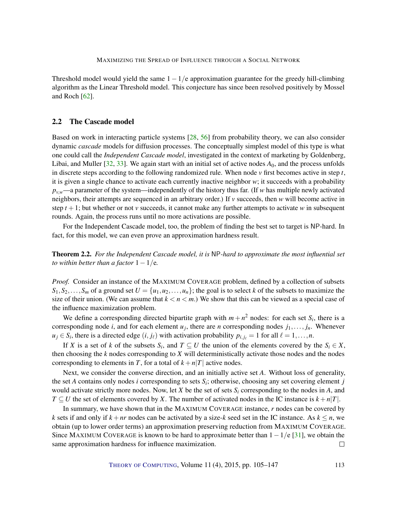<span id="page-8-1"></span>Threshold model would yield the same  $1 - 1/e$  approximation guarantee for the greedy hill-climbing algorithm as the Linear Threshold model. This conjecture has since been resolved positively by Mossel and Roch [\[62\]](#page-39-5).

# 2.2 The Cascade model

Based on work in interacting particle systems [\[28,](#page-36-5) [56\]](#page-38-2) from probability theory, we can also consider dynamic *cascade* models for diffusion processes. The conceptually simplest model of this type is what one could call the *Independent Cascade model*, investigated in the context of marketing by Goldenberg, Libai, and Muller [\[32,](#page-36-3) [33\]](#page-36-2). We again start with an initial set of active nodes *A*0, and the process unfolds in discrete steps according to the following randomized rule. When node  $\nu$  first becomes active in step  $t$ , it is given a single chance to activate each currently inactive neighbor *w*; it succeeds with a probability  $p_{v,w}$ —a parameter of the system—independently of the history thus far. (If *w* has multiple newly activated neighbors, their attempts are sequenced in an arbitrary order.) If *v* succeeds, then *w* will become active in step  $t + 1$ ; but whether or not *v* succeeds, it cannot make any further attempts to activate *w* in subsequent rounds. Again, the process runs until no more activations are possible.

For the Independent Cascade model, too, the problem of finding the best set to target is NP-hard. In fact, for this model, we can even prove an approximation hardness result.

<span id="page-8-0"></span>Theorem 2.2. *For the Independent Cascade model, it is* NP*-hard to approximate the most influential set to within better than a factor*  $1 - 1/e$ *.* 

*Proof.* Consider an instance of the MAXIMUM COVERAGE problem, defined by a collection of subsets  $S_1, S_2, \ldots, S_m$  of a ground set  $U = \{u_1, u_2, \ldots, u_n\}$ ; the goal is to select *k* of the subsets to maximize the size of their union. (We can assume that  $k < n < m$ .) We show that this can be viewed as a special case of the influence maximization problem.

We define a corresponding directed bipartite graph with  $m + n^2$  nodes: for each set  $S_i$ , there is a corresponding node *i*, and for each element  $u_j$ , there are *n* corresponding nodes  $j_1, \ldots, j_n$ . Whenever  $u_j \in S_i$ , there is a directed edge  $(i, j_\ell)$  with activation probability  $p_{i,j_\ell} = 1$  for all  $\ell = 1, \ldots, n$ .

If *X* is a set of *k* of the subsets  $S_i$ , and  $T \subseteq U$  the union of the elements covered by the  $S_i \in X$ , then choosing the *k* nodes corresponding to *X* will deterministically activate those nodes and the nodes corresponding to elements in *T*, for a total of  $k+n|T|$  active nodes.

Next, we consider the converse direction, and an initially active set *A*. Without loss of generality, the set  $A$  contains only nodes  $i$  corresponding to sets  $S_i$ ; otherwise, choosing any set covering element  $j$ would activate strictly more nodes. Now, let *X* be the set of sets  $S_i$  corresponding to the nodes in *A*, and *T* ⊆ *U* the set of elements covered by *X*. The number of activated nodes in the IC instance is  $k + n|T|$ .

In summary, we have shown that in the MAXIMUM COVERAGE instance, *r* nodes can be covered by *k* sets if and only if  $k + nr$  nodes can be activated by a size-*k* seed set in the IC instance. As  $k \leq n$ , we obtain (up to lower order terms) an approximation preserving reduction from MAXIMUM COVERAGE. Since MAXIMUM COVERAGE is known to be hard to approximate better than  $1-1/e$  [\[31\]](#page-36-11), we obtain the same approximation hardness for influence maximization.  $\Box$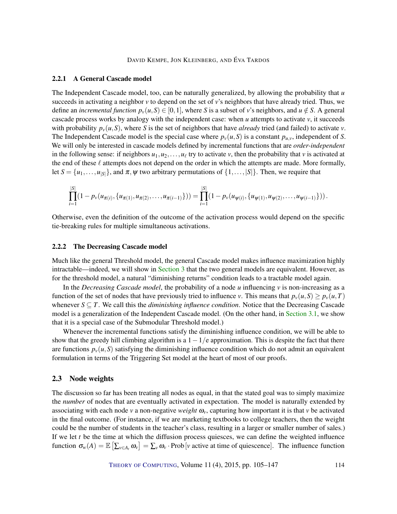#### 2.2.1 A General Cascade model

The Independent Cascade model, too, can be naturally generalized, by allowing the probability that *u* succeeds in activating a neighbor  $\nu$  to depend on the set of  $\nu$ 's neighbors that have already tried. Thus, we define an *incremental function*  $p_v(u, S) \in [0, 1]$ , where *S* is a subset of *v*'s neighbors, and  $u \notin S$ . A general cascade process works by analogy with the independent case: when *u* attempts to activate *v*, it succeeds with probability  $p_v(u, S)$ , where *S* is the set of neighbors that have *already* tried (and failed) to activate *v*. The Independent Cascade model is the special case where  $p_\nu(u, S)$  is a constant  $p_{u, \nu}$ , independent of *S*. We will only be interested in cascade models defined by incremental functions that are *order-independent* in the following sense: if neighbors  $u_1, u_2, \ldots, u_\ell$  try to activate *v*, then the probability that *v* is activated at the end of these  $\ell$  attempts does not depend on the order in which the attempts are made. More formally, let  $S = \{u_1, \ldots, u_{|S|}\}\$ , and  $\pi, \psi$  two arbitrary permutations of  $\{1, \ldots, |S|\}\$ . Then, we require that

$$
\prod_{i=1}^{|S|} (1 - p_{\nu}(u_{\pi(i)}, \{u_{\pi(1)}, u_{\pi(2)}, \ldots, u_{\pi(i-1)}\})) = \prod_{i=1}^{|S|} (1 - p_{\nu}(u_{\psi(i)}, \{u_{\psi(1)}, u_{\psi(2)}, \ldots, u_{\psi(i-1)}\})).
$$

Otherwise, even the definition of the outcome of the activation process would depend on the specific tie-breaking rules for multiple simultaneous activations.

#### <span id="page-9-0"></span>2.2.2 The Decreasing Cascade model

Much like the general Threshold model, the general Cascade model makes influence maximization highly intractable—indeed, we will show in [Section](#page-10-0) [3](#page-10-0) that the two general models are equivalent. However, as for the threshold model, a natural "diminishing returns" condition leads to a tractable model again.

In the *Decreasing Cascade model*, the probability of a node  $u$  influencing  $v$  is non-increasing as a function of the set of nodes that have previously tried to influence *v*. This means that  $p_v(u, S) \geq p_v(u, T)$ whenever  $S \subseteq T$ . We call this the *diminishing influence condition*. Notice that the Decreasing Cascade model is a generalization of the Independent Cascade model. (On the other hand, in [Section](#page-12-1) [3.1,](#page-12-1) we show that it is a special case of the Submodular Threshold model.)

Whenever the incremental functions satisfy the diminishing influence condition, we will be able to show that the greedy hill climbing algorithm is a  $1-1/e$  approximation. This is despite the fact that there are functions  $p_\nu(u, S)$  satisfying the diminishing influence condition which do not admit an equivalent formulation in terms of the Triggering Set model at the heart of most of our proofs.

#### <span id="page-9-1"></span>2.3 Node weights

The discussion so far has been treating all nodes as equal, in that the stated goal was to simply maximize the *number* of nodes that are eventually activated in expectation. The model is naturally extended by associating with each node *v* a non-negative *weight*  $\omega$ <sup>*v*</sup>, capturing how important it is that *v* be activated in the final outcome. (For instance, if we are marketing textbooks to college teachers, then the weight could be the number of students in the teacher's class, resulting in a larger or smaller number of sales.) If we let  $t$  be the time at which the diffusion process quiesces, we can define the weighted influence function  $\sigma_w(A) = \mathbb{E} \left[ \sum_{v \in A_t} \omega_v \right] = \sum_v \omega_v \cdot \text{Prob} \left[ v \text{ active at time of quiescence} \right]$ . The influence function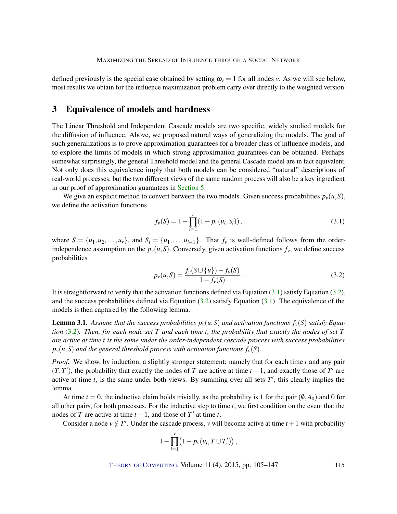defined previously is the special case obtained by setting  $\omega$ <sub>*v*</sub> = 1 for all nodes *v*. As we will see below, most results we obtain for the influence maximization problem carry over directly to the weighted version.

# <span id="page-10-0"></span>3 Equivalence of models and hardness

The Linear Threshold and Independent Cascade models are two specific, widely studied models for the diffusion of influence. Above, we proposed natural ways of generalizing the models. The goal of such generalizations is to prove approximation guarantees for a broader class of influence models, and to explore the limits of models in which strong approximation guarantees can be obtained. Perhaps somewhat surprisingly, the general Threshold model and the general Cascade model are in fact equivalent. Not only does this equivalence imply that both models can be considered "natural" descriptions of real-world processes, but the two different views of the same random process will also be a key ingredient in our proof of approximation guarantees in [Section](#page-18-0) [5.](#page-18-0)

We give an explicit method to convert between the two models. Given success probabilities  $p_v(u, S)$ , we define the activation functions

<span id="page-10-1"></span>
$$
f_{\nu}(S) = 1 - \prod_{i=1}^{r} (1 - p_{\nu}(u_i, S_i)),
$$
\n(3.1)

where  $S = \{u_1, u_2, \ldots, u_r\}$ , and  $S_i = \{u_1, \ldots, u_{i-1}\}$ . That  $f_v$  is well-defined follows from the orderindependence assumption on the  $p_v(u, S)$ . Conversely, given activation functions  $f_v$ , we define success probabilities

<span id="page-10-2"></span>
$$
p_{\nu}(u, S) = \frac{f_{\nu}(S \cup \{u\}) - f_{\nu}(S)}{1 - f_{\nu}(S)}.
$$
\n(3.2)

It is straightforward to verify that the activation functions defined via Equation  $(3.1)$  satisfy Equation  $(3.2)$ , and the success probabilities defined via Equation  $(3.2)$  satisfy Equation  $(3.1)$ . The equivalence of the models is then captured by the following lemma.

<span id="page-10-3"></span>**Lemma 3.1.** Assume that the success probabilities  $p_\nu(u, S)$  and activation functions  $f_\nu(S)$  satisfy Equa*tion* [\(3.2\)](#page-10-2)*. Then, for each node set T and each time t, the probability that exactly the nodes of set T are active at time t is the same under the order-independent cascade process with success probabilities*  $p_v(u, S)$  *and the general threshold process with activation functions*  $f_v(S)$ *.* 

*Proof.* We show, by induction, a slightly stronger statement: namely that for each time *t* and any pair  $(T, T')$ , the probability that exactly the nodes of *T* are active at time  $t - 1$ , and exactly those of *T*' are active at time  $t$ , is the same under both views. By summing over all sets  $T'$ , this clearly implies the lemma.

At time  $t = 0$ , the inductive claim holds trivially, as the probability is 1 for the pair  $(\emptyset, A_0)$  and 0 for all other pairs, for both processes. For the inductive step to time *t*, we first condition on the event that the nodes of *T* are active at time  $t - 1$ , and those of  $T'$  at time *t*.

Consider a node  $v \notin T'$ . Under the cascade process, *v* will become active at time  $t + 1$  with probability

$$
1-\prod_{i=1}^r\bigl(1-p_v(u_i,T\cup T'_i)\bigr)\,,
$$

THEORY OF C[OMPUTING](http://dx.doi.org/10.4086/toc), Volume 11 (4), 2015, pp. 105–147 115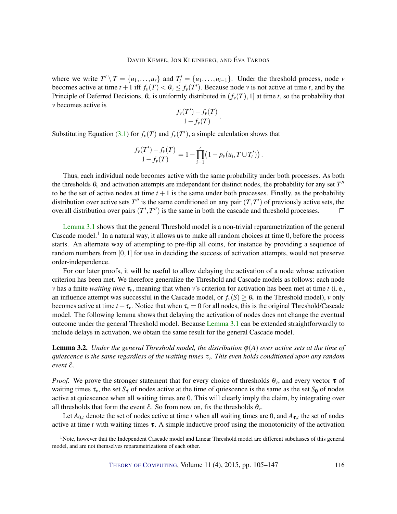where we write  $T' \setminus T = \{u_1, \ldots, u_r\}$  and  $T'_i = \{u_1, \ldots, u_{i-1}\}$ . Under the threshold process, node *v* becomes active at time  $t + 1$  iff  $f_\nu(T) < \theta_\nu \le f_\nu(T')$ . Because node  $\nu$  is not active at time  $t$ , and by the Principle of Deferred Decisions,  $\theta$ <sup>*v*</sup> is uniformly distributed in  $(f_\nu(T), 1]$  at time *t*, so the probability that *v* becomes active is

$$
\frac{f_{\nu}(T') - f_{\nu}(T)}{1 - f_{\nu}(T)}
$$

.

Substituting Equation [\(3.1\)](#page-10-1) for  $f_\nu(T)$  and  $f_\nu(T')$ , a simple calculation shows that

$$
\frac{f_{\nu}(T') - f_{\nu}(T)}{1 - f_{\nu}(T)} = 1 - \prod_{i=1}^{r} (1 - p_{\nu}(u_i, T \cup T'_i)).
$$

Thus, each individual node becomes active with the same probability under both processes. As both the thresholds  $\theta$ <sub>v</sub> and activation attempts are independent for distinct nodes, the probability for any set  $T''$ to be the set of active nodes at time  $t + 1$  is the same under both processes. Finally, as the probability distribution over active sets  $T''$  is the same conditioned on any pair  $(T, T')$  of previously active sets, the overall distribution over pairs  $(T', T'')$  is the same in both the cascade and threshold processes.  $\Box$ 

[Lemma](#page-10-3) [3.1](#page-10-3) shows that the general Threshold model is a non-trivial reparametrization of the general Cascade model.<sup>1</sup> In a natural way, it allows us to make all random choices at time 0, before the process starts. An alternate way of attempting to pre-flip all coins, for instance by providing a sequence of random numbers from [0,1] for use in deciding the success of activation attempts, would not preserve order-independence.

For our later proofs, it will be useful to allow delaying the activation of a node whose activation criterion has been met. We therefore generalize the Threshold and Cascade models as follows: each node *v* has a finite *waiting time* τ*v*, meaning that when *v*'s criterion for activation has been met at time *t* (i. e., an influence attempt was successful in the Cascade model, or  $f_v(S) \ge \theta_v$  in the Threshold model), *v* only becomes active at time  $t + \tau_v$ . Notice that when  $\tau_v = 0$  for all nodes, this is the original Threshold/Cascade model. The following lemma shows that delaying the activation of nodes does not change the eventual outcome under the general Threshold model. Because [Lemma](#page-10-3) [3.1](#page-10-3) can be extended straightforwardly to include delays in activation, we obtain the same result for the general Cascade model.

<span id="page-11-0"></span>**Lemma 3.2.** *Under the general Threshold model, the distribution*  $\varphi(A)$  *over active sets at the time of quiescence is the same regardless of the waiting times* τ*v. This even holds conditioned upon any random event* E*.*

*Proof.* We prove the stronger statement that for every choice of thresholds  $\theta$ <sub>*v*</sub>, and every vector  $\tau$  of waiting times  $\tau_v$ , the set  $S_{\tau}$  of nodes active at the time of quiescence is the same as the set  $S_0$  of nodes active at quiescence when all waiting times are 0. This will clearly imply the claim, by integrating over all thresholds that form the event  $\mathcal{E}$ . So from now on, fix the thresholds  $\theta_{\nu}$ .

Let  $A_{0,t}$  denote the set of nodes active at time *t* when all waiting times are 0, and  $A_{\tau,t}$  the set of nodes active at time *t* with waiting times  $\tau$ . A simple inductive proof using the monotonicity of the activation

<sup>&</sup>lt;sup>1</sup>Note, however that the Independent Cascade model and Linear Threshold model are different subclasses of this general model, and are not themselves reparametrizations of each other.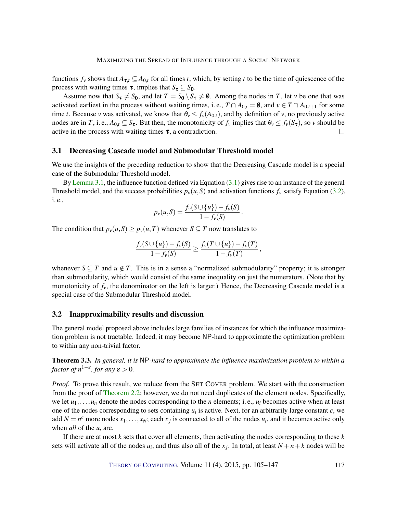functions  $f_v$  shows that  $A_{\tau,t} \subseteq A_{0,t}$  for all times *t*, which, by setting *t* to be the time of quiescence of the process with waiting times  $\tau$ , implies that  $S_{\tau} \subseteq S_0$ .

Assume now that  $S_t \neq S_0$ , and let  $T = S_0 \setminus S_t \neq \emptyset$ . Among the nodes in *T*, let *v* be one that was activated earliest in the process without waiting times, i.e.,  $T \cap A_{0,t} = \emptyset$ , and  $v \in T \cap A_{0,t+1}$  for some time *t*. Because *v* was activated, we know that  $\theta_v \leq f_v(A_{0,t})$ , and by definition of *v*, no previously active nodes are in *T*, i. e.,  $A_{0,t} \subseteq S_{\tau}$ . But then, the monotonicity of  $f_v$  implies that  $\theta_v \leq f_v(S_{\tau})$ , so *v* should be active in the process with waiting times  $\tau$ , a contradiction.  $\Box$ 

#### <span id="page-12-1"></span>3.1 Decreasing Cascade model and Submodular Threshold model

We use the insights of the preceding reduction to show that the Decreasing Cascade model is a special case of the Submodular Threshold model.

By [Lemma](#page-10-3) [3.1,](#page-10-3) the influence function defined via Equation  $(3.1)$  gives rise to an instance of the general Threshold model, and the success probabilities  $p_v(u, S)$  and activation functions  $f_v$  satisfy Equation [\(3.2\)](#page-10-2), i. e.,

$$
p_{\nu}(u, S) = \frac{f_{\nu}(S \cup \{u\}) - f_{\nu}(S)}{1 - f_{\nu}(S)}
$$

.

The condition that  $p_{\nu}(u, S) \geq p_{\nu}(u, T)$  whenever  $S \subseteq T$  now translates to

$$
\frac{f_v(S \cup \{u\}) - f_v(S)}{1 - f_v(S)} \geq \frac{f_v(T \cup \{u\}) - f_v(T)}{1 - f_v(T)},
$$

whenever  $S \subseteq T$  and  $u \notin T$ . This is in a sense a "normalized submodularity" property; it is stronger than submodularity, which would consist of the same inequality on just the numerators. (Note that by monotonicity of  $f_v$ , the denominator on the left is larger.) Hence, the Decreasing Cascade model is a special case of the Submodular Threshold model.

#### <span id="page-12-0"></span>3.2 Inapproximability results and discussion

The general model proposed above includes large families of instances for which the influence maximization problem is not tractable. Indeed, it may become NP-hard to approximate the optimization problem to within any non-trivial factor.

<span id="page-12-2"></span>Theorem 3.3. *In general, it is* NP*-hard to approximate the influence maximization problem to within a factor of*  $n^{1-\epsilon}$ *, for any*  $\epsilon > 0$ *.* 

*Proof.* To prove this result, we reduce from the SET COVER problem. We start with the construction from the proof of [Theorem](#page-8-0) [2.2;](#page-8-0) however, we do not need duplicates of the element nodes. Specifically, we let  $u_1, \ldots, u_n$  denote the nodes corresponding to the *n* elements; i.e.,  $u_i$  becomes active when at least one of the nodes corresponding to sets containing  $u_i$  is active. Next, for an arbitrarily large constant  $c$ , we add  $N = n^c$  more nodes  $x_1, \ldots, x_N$ ; each  $x_j$  is connected to all of the nodes  $u_i$ , and it becomes active only when *all* of the *u<sup>i</sup>* are.

If there are at most *k* sets that cover all elements, then activating the nodes corresponding to these *k* sets will activate all of the nodes  $u_i$ , and thus also all of the  $x_j$ . In total, at least  $N + n + k$  nodes will be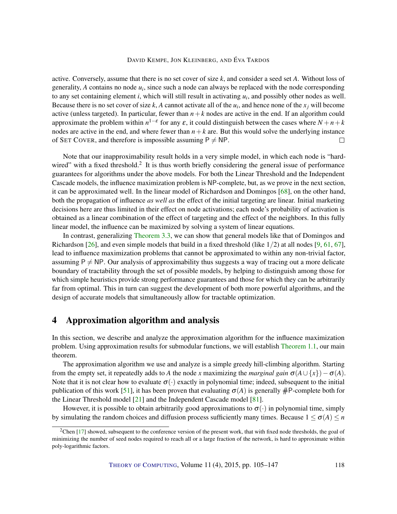<span id="page-13-1"></span>active. Conversely, assume that there is no set cover of size *k*, and consider a seed set *A*. Without loss of generality, *A* contains no node *u<sup>i</sup>* , since such a node can always be replaced with the node corresponding to any set containing element *i*, which will still result in activating *u<sup>i</sup>* , and possibly other nodes as well. Because there is no set cover of size  $k$ ,  $A$  cannot activate all of the  $u_i$ , and hence none of the  $x_j$  will become active (unless targeted). In particular, fewer than  $n+k$  nodes are active in the end. If an algorithm could approximate the problem within  $n^{1-\epsilon}$  for any  $\epsilon$ , it could distinguish between the cases where  $N + n + k$ nodes are active in the end, and where fewer than  $n+k$  are. But this would solve the underlying instance of SET COVER, and therefore is impossible assuming  $P \neq NP$ .  $\Box$ 

Note that our inapproximability result holds in a very simple model, in which each node is "hardwired" with a fixed threshold.<sup>2</sup> It is thus worth briefly considering the general issue of performance guarantees for algorithms under the above models. For both the Linear Threshold and the Independent Cascade models, the influence maximization problem is NP-complete, but, as we prove in the next section, it can be approximated well. In the linear model of Richardson and Domingos [\[68\]](#page-39-2), on the other hand, both the propagation of influence *as well as* the effect of the initial targeting are linear. Initial marketing decisions here are thus limited in their effect on node activations; each node's probability of activation is obtained as a linear combination of the effect of targeting and the effect of the neighbors. In this fully linear model, the influence can be maximized by solving a system of linear equations.

In contrast, generalizing [Theorem](#page-12-2) [3.3,](#page-12-2) we can show that general models like that of Domingos and Richardson [\[26\]](#page-36-1), and even simple models that build in a fixed threshold (like  $1/2$ ) at all nodes [\[9,](#page-35-11) [61,](#page-39-3) [67\]](#page-39-7), lead to influence maximization problems that cannot be approximated to within any non-trivial factor, assuming  $P \neq NP$ . Our analysis of approximability thus suggests a way of tracing out a more delicate boundary of tractability through the set of possible models, by helping to distinguish among those for which simple heuristics provide strong performance guarantees and those for which they can be arbitrarily far from optimal. This in turn can suggest the development of both more powerful algorithms, and the design of accurate models that simultaneously allow for tractable optimization.

# <span id="page-13-0"></span>4 Approximation algorithm and analysis

In this section, we describe and analyze the approximation algorithm for the influence maximization problem. Using approximation results for submodular functions, we will establish [Theorem](#page-2-0) [1.1,](#page-2-0) our main theorem.

The approximation algorithm we use and analyze is a simple greedy hill-climbing algorithm. Starting from the empty set, it repeatedly adds to *A* the node *x* maximizing the *marginal gain*  $\sigma(A \cup \{x\}) - \sigma(A)$ . Note that it is not clear how to evaluate  $\sigma(\cdot)$  exactly in polynomial time; indeed, subsequent to the initial publication of this work [\[51\]](#page-38-0), it has been proven that evaluating  $\sigma(A)$  is generally  $\#P$ -complete both for the Linear Threshold model [\[21\]](#page-36-9) and the Independent Cascade model [\[81\]](#page-40-2).

However, it is possible to obtain arbitrarily good approximations to  $\sigma(\cdot)$  in polynomial time, simply by simulating the random choices and diffusion process sufficiently many times. Because  $1 \le \sigma(A) \le n$ 

<sup>&</sup>lt;sup>2</sup>Chen [\[17\]](#page-35-12) showed, subsequent to the conference version of the present work, that with fixed node thresholds, the goal of minimizing the number of seed nodes required to reach all or a large fraction of the network, is hard to approximate within poly-logarithmic factors.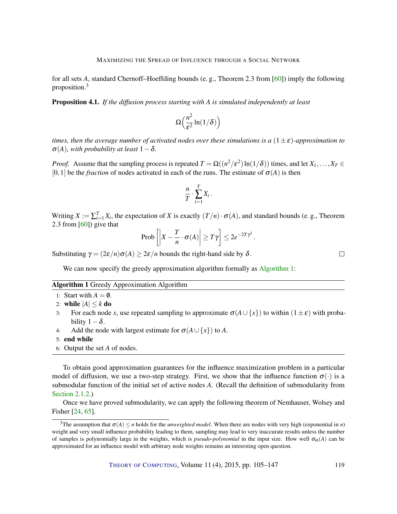<span id="page-14-0"></span>for all sets *A*, standard Chernoff–Hoeffding bounds (e. g., Theorem 2.3 from [\[60\]](#page-39-8)) imply the following proposition.<sup>3</sup>

Proposition 4.1. *If the diffusion process starting with A is simulated independently at least*

$$
\Omega\left(\frac{n^2}{\varepsilon^2}\ln(1/\delta)\right)
$$

*times, then the average number of activated nodes over these simulations is a*  $(1 \pm \varepsilon)$ -*approximation to*  $\sigma(A)$ *, with probability at least*  $1-\delta$ *.* 

*Proof.* Assume that the sampling process is repeated  $T = \Omega((n^2/\varepsilon^2) \ln(1/\delta))$  times, and let  $X_1, \ldots, X_T \in$ [0,1] be the *fraction* of nodes activated in each of the runs. The estimate of  $\sigma(A)$  is then

$$
\frac{n}{T} \cdot \sum_{i=1}^T X_i \, .
$$

Writing  $X := \sum_{i=1}^T X_i$ , the expectation of *X* is exactly  $(T/n) \cdot \sigma(A)$ , and standard bounds (e.g., Theorem 2.3 from [\[60\]](#page-39-8)) give that

$$
\text{Prob}\left[\left|X - \frac{T}{n} \cdot \sigma(A)\right| \geq T\gamma\right] \leq 2e^{-2T\gamma^2}.
$$

Substituting  $\gamma = (2\varepsilon/n)\sigma(A) \geq 2\varepsilon/n$  bounds the right-hand side by  $\delta$ .

We can now specify the greedy approximation algorithm formally as [Algorithm](#page-0-0) [1:](#page-0-0)

#### Algorithm 1 Greedy Approximation Algorithm

- 1: Start with  $A = \emptyset$ .
- 2: while  $|A| \le k$  do
- 3: For each node *x*, use repeated sampling to approximate  $\sigma(A \cup \{x\})$  to within  $(1 \pm \varepsilon)$  with probability  $1-\delta$ .
- 4: Add the node with largest estimate for  $\sigma(A \cup \{x\})$  to *A*.
- 5: end while
- 6: Output the set *A* of nodes.

To obtain good approximation guarantees for the influence maximization problem in a particular model of diffusion, we use a two-step strategy. First, we show that the influence function  $\sigma(\cdot)$  is a submodular function of the initial set of active nodes *A*. (Recall the definition of submodularity from [Section](#page-7-0) [2.1.2.](#page-7-0))

Once we have proved submodularity, we can apply the following theorem of Nemhauser, Wolsey and Fisher [\[24,](#page-36-6) [65\]](#page-39-4).

THEORY OF C[OMPUTING](http://dx.doi.org/10.4086/toc), Volume 11 (4), 2015, pp. 105–147 119

 $\Box$ 

<sup>&</sup>lt;sup>3</sup>The assumption that  $\sigma(A) \le n$  holds for the *unweighted model*. When there are nodes with very high (exponential in *n*) weight and very small influence probability leading to them, sampling may lead to very inaccurate results unless the number of samples is polynomially large in the weights, which is *pseudo-polynomial* in the input size. How well  $\sigma_{\omega}(A)$  can be approximated for an influence model with arbitrary node weights remains an interesting open question.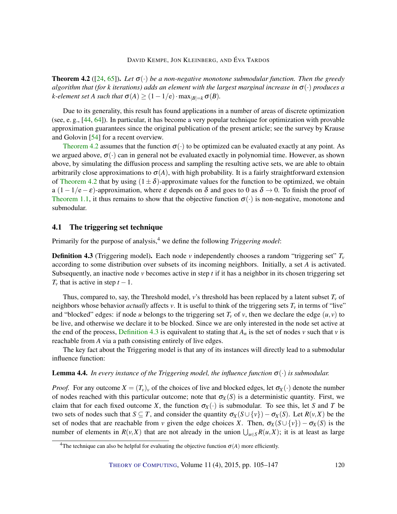<span id="page-15-3"></span><span id="page-15-0"></span>**Theorem 4.2** ( $[24, 65]$  $[24, 65]$  $[24, 65]$ ). Let  $\sigma(\cdot)$  be a non-negative monotone submodular function. Then the greedy *algorithm that (for k iterations) adds an element with the largest marginal increase in*  $\sigma(\cdot)$  *produces a k*-element set A such that  $\sigma(A) \geq (1-1/e) \cdot \max_{|B|=k} \sigma(B)$ .

Due to its generality, this result has found applications in a number of areas of discrete optimization (see, e. g., [\[44,](#page-37-6) [64\]](#page-39-9)). In particular, it has become a very popular technique for optimization with provable approximation guarantees since the original publication of the present article; see the survey by Krause and Golovin [\[54\]](#page-38-11) for a recent overview.

[Theorem](#page-15-0) [4.2](#page-15-0) assumes that the function  $\sigma(\cdot)$  to be optimized can be evaluated exactly at any point. As we argued above,  $\sigma(\cdot)$  can in general not be evaluated exactly in polynomial time. However, as shown above, by simulating the diffusion process and sampling the resulting active sets, we are able to obtain arbitrarily close approximations to  $\sigma(A)$ , with high probability. It is a fairly straightforward extension of [Theorem](#page-15-0) [4.2](#page-15-0) that by using  $(1 \pm \delta)$ -approximate values for the function to be optimized, we obtain a  $(1-1/e-\varepsilon)$ -approximation, where  $\varepsilon$  depends on  $\delta$  and goes to 0 as  $\delta \to 0$ . To finish the proof of [Theorem](#page-2-0) [1.1,](#page-2-0) it thus remains to show that the objective function  $\sigma(\cdot)$  is non-negative, monotone and submodular.

#### 4.1 The triggering set technique

Primarily for the purpose of analysis,<sup>4</sup> we define the following *Triggering model*:

<span id="page-15-1"></span>**Definition 4.3** (Triggering model). Each node *v* independently chooses a random "triggering set"  $T_v$ according to some distribution over subsets of its incoming neighbors. Initially, a set *A* is activated. Subsequently, an inactive node  $\nu$  becomes active in step  $t$  if it has a neighbor in its chosen triggering set  $T_v$  that is active in step  $t - 1$ .

Thus, compared to, say, the Threshold model, *v*'s threshold has been replaced by a latent subset *T<sup>v</sup>* of neighbors whose behavior *actually* affects  $\nu$ . It is useful to think of the triggering sets  $T_{\nu}$  in terms of "live" and "blocked" edges: if node *u* belongs to the triggering set  $T_v$  of *v*, then we declare the edge  $(u, v)$  to be live, and otherwise we declare it to be blocked. Since we are only interested in the node set active at the end of the process, [Definition](#page-15-1) [4.3](#page-15-1) is equivalent to stating that  $A_n$  is the set of nodes  $\nu$  such that  $\nu$  is reachable from *A* via a path consisting entirely of live edges.

The key fact about the Triggering model is that any of its instances will directly lead to a submodular influence function:

#### <span id="page-15-2"></span>Lemma 4.4. *In every instance of the Triggering model, the influence function* σ(·) *is submodular.*

*Proof.* For any outcome  $X = (T_v)_v$  of the choices of live and blocked edges, let  $\sigma_X(\cdot)$  denote the number of nodes reached with this particular outcome; note that  $\sigma_X(S)$  is a deterministic quantity. First, we claim that for each fixed outcome *X*, the function  $\sigma_X(\cdot)$  is submodular. To see this, let *S* and *T* be two sets of nodes such that  $S \subseteq T$ , and consider the quantity  $\sigma_X(S \cup \{v\}) - \sigma_X(S)$ . Let  $R(v, X)$  be the set of nodes that are reachable from *v* given the edge choices *X*. Then,  $\sigma_X(S \cup \{v\}) - \sigma_X(S)$  is the number of elements in  $R(v,X)$  that are not already in the union  $\bigcup_{u \in S} R(u,X)$ ; it is at least as large

<sup>&</sup>lt;sup>4</sup>The technique can also be helpful for evaluating the objective function  $\sigma(A)$  more efficiently.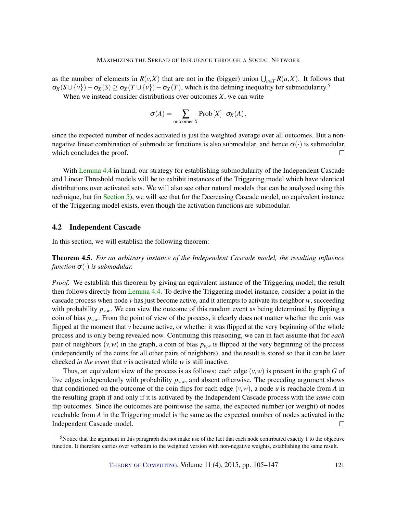as the number of elements in  $R(v,X)$  that are not in the (bigger) union  $\bigcup_{u \in T} R(u,X)$ . It follows that  $\sigma_X(S \cup \{v\}) - \sigma_X(S) \geq \sigma_X(T \cup \{v\}) - \sigma_X(T)$ , which is the defining inequality for submodularity.<sup>5</sup>

When we instead consider distributions over outcomes *X*, we can write

$$
\sigma(A) = \sum_{\text{outcomes } X} \text{Prob}[X] \cdot \sigma_X(A),
$$

since the expected number of nodes activated is just the weighted average over all outcomes. But a nonnegative linear combination of submodular functions is also submodular, and hence  $\sigma(\cdot)$  is submodular, which concludes the proof.  $\Box$ 

With [Lemma](#page-15-2) [4.4](#page-15-2) in hand, our strategy for establishing submodularity of the Independent Cascade and Linear Threshold models will be to exhibit instances of the Triggering model which have identical distributions over activated sets. We will also see other natural models that can be analyzed using this technique, but (in [Section](#page-18-0) [5\)](#page-18-0), we will see that for the Decreasing Cascade model, no equivalent instance of the Triggering model exists, even though the activation functions are submodular.

#### 4.2 Independent Cascade

In this section, we will establish the following theorem:

<span id="page-16-0"></span>Theorem 4.5. *For an arbitrary instance of the Independent Cascade model, the resulting influence function*  $\sigma(\cdot)$  *is submodular.* 

*Proof.* We establish this theorem by giving an equivalent instance of the Triggering model; the result then follows directly from [Lemma](#page-15-2) [4.4.](#page-15-2) To derive the Triggering model instance, consider a point in the cascade process when node *v* has just become active, and it attempts to activate its neighbor *w*, succeeding with probability  $p_{v,w}$ . We can view the outcome of this random event as being determined by flipping a coin of bias  $p_{v,w}$ . From the point of view of the process, it clearly does not matter whether the coin was flipped at the moment that *v* became active, or whether it was flipped at the very beginning of the whole process and is only being revealed now. Continuing this reasoning, we can in fact assume that for *each* pair of neighbors  $(v, w)$  in the graph, a coin of bias  $p_{v,w}$  is flipped at the very beginning of the process (independently of the coins for all other pairs of neighbors), and the result is stored so that it can be later checked *in the event* that *v* is activated while *w* is still inactive.

Thus, an equivalent view of the process is as follows: each edge  $(v, w)$  is present in the graph *G* of live edges independently with probability  $p_{v,w}$ , and absent otherwise. The preceding argument shows that conditioned on the outcome of the coin flips for each edge  $(v, w)$ , a node *u* is reachable from *A* in the resulting graph if and only if it is activated by the Independent Cascade process with the *same* coin flip outcomes. Since the outcomes are pointwise the same, the expected number (or weight) of nodes reachable from *A* in the Triggering model is the same as the expected number of nodes activated in the Independent Cascade model.  $\Box$ 

<sup>5</sup>Notice that the argument in this paragraph did not make use of the fact that each node contributed exactly 1 to the objective function. It therefore carries over verbatim to the weighted version with non-negative weights, establishing the same result.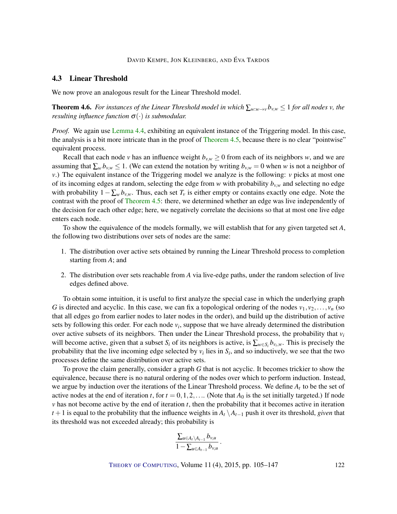## 4.3 Linear Threshold

We now prove an analogous result for the Linear Threshold model.

**Theorem 4.6.** For instances of the Linear Threshold model in which  $\sum_{w\cdot w\to v}b_{v,w}\leq 1$  for all nodes v, the *resulting influence function*  $\sigma(\cdot)$  *is submodular.* 

*Proof.* We again use [Lemma](#page-15-2) [4.4,](#page-15-2) exhibiting an equivalent instance of the Triggering model. In this case, the analysis is a bit more intricate than in the proof of [Theorem](#page-16-0) [4.5,](#page-16-0) because there is no clear "pointwise" equivalent process.

Recall that each node *v* has an influence weight  $b_{v,w} \ge 0$  from each of its neighbors *w*, and we are assuming that  $\sum_{w} b_{v,w} \leq 1$ . (We can extend the notation by writing  $b_{v,w} = 0$  when *w* is not a neighbor of *v*.) The equivalent instance of the Triggering model we analyze is the following: *v* picks at most one of its incoming edges at random, selecting the edge from *w* with probability  $b_{v,w}$  and selecting no edge with probability  $1-\sum_{w} b_{v,w}$ . Thus, each set  $T_v$  is either empty or contains exactly one edge. Note the contrast with the proof of [Theorem](#page-16-0) [4.5:](#page-16-0) there, we determined whether an edge was live independently of the decision for each other edge; here, we negatively correlate the decisions so that at most one live edge enters each node.

To show the equivalence of the models formally, we will establish that for any given targeted set *A*, the following two distributions over sets of nodes are the same:

- 1. The distribution over active sets obtained by running the Linear Threshold process to completion starting from *A*; and
- 2. The distribution over sets reachable from *A* via live-edge paths, under the random selection of live edges defined above.

To obtain some intuition, it is useful to first analyze the special case in which the underlying graph *G* is directed and acyclic. In this case, we can fix a topological ordering of the nodes  $v_1, v_2, \ldots, v_n$  (so that all edges go from earlier nodes to later nodes in the order), and build up the distribution of active sets by following this order. For each node  $v_i$ , suppose that we have already determined the distribution over active subsets of its neighbors. Then under the Linear Threshold process, the probability that  $v_i$ will become active, given that a subset  $S_i$  of its neighbors is active, is  $\sum_{w \in S_i} b_{v_i,w}$ . This is precisely the probability that the live incoming edge selected by  $v_i$  lies in  $S_i$ , and so inductively, we see that the two processes define the same distribution over active sets.

To prove the claim generally, consider a graph *G* that is not acyclic. It becomes trickier to show the equivalence, because there is no natural ordering of the nodes over which to perform induction. Instead, we argue by induction over the iterations of the Linear Threshold process. We define *A<sup>t</sup>* to be the set of active nodes at the end of iteration *t*, for  $t = 0, 1, 2, \ldots$  (Note that  $A_0$  is the set initially targeted.) If node *v* has not become active by the end of iteration *t*, then the probability that it becomes active in iteration *t* + 1 is equal to the probability that the influence weights in  $A_t \setminus A_{t-1}$  push it over its threshold, *given* that its threshold was not exceeded already; this probability is

$$
\frac{\sum_{u\in A_t\setminus A_{t-1}}b_{v,u}}{1-\sum_{u\in A_{t-1}}b_{v,u}}.
$$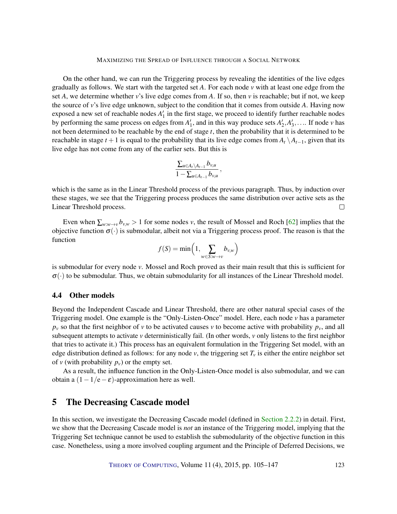<span id="page-18-1"></span>On the other hand, we can run the Triggering process by revealing the identities of the live edges gradually as follows. We start with the targeted set *A*. For each node *v* with at least one edge from the set *A*, we determine whether *v*'s live edge comes from *A*. If so, then *v* is reachable; but if not, we keep the source of *v*'s live edge unknown, subject to the condition that it comes from outside *A*. Having now exposed a new set of reachable nodes  $A'_1$  in the first stage, we proceed to identify further reachable nodes by performing the same process on edges from  $A'_1$ , and in this way produce sets  $A'_2, A'_3, \ldots$  If node *v* has not been determined to be reachable by the end of stage *t*, then the probability that it is determined to be reachable in stage  $t + 1$  is equal to the probability that its live edge comes from  $A_t \setminus A_{t-1}$ , given that its live edge has not come from any of the earlier sets. But this is

$$
\frac{\sum_{u\in A_t\setminus A_{t-1}}b_{v,u}}{1-\sum_{u\in A_{t-1}}b_{v,u}},
$$

which is the same as in the Linear Threshold process of the previous paragraph. Thus, by induction over these stages, we see that the Triggering process produces the same distribution over active sets as the Linear Threshold process.  $\Box$ 

Even when  $\sum_{w:w\to v} b_{v,w} > 1$  for some nodes *v*, the result of Mossel and Roch [\[62\]](#page-39-5) implies that the objective function  $\sigma(\cdot)$  is submodular, albeit not via a Triggering process proof. The reason is that the function

$$
f(S) = \min\left(1, \sum_{w \in S:w \to v} b_{v,w}\right)
$$

is submodular for every node *v*. Mossel and Roch proved as their main result that this is sufficient for  $\sigma(\cdot)$  to be submodular. Thus, we obtain submodularity for all instances of the Linear Threshold model.

#### 4.4 Other models

Beyond the Independent Cascade and Linear Threshold, there are other natural special cases of the Triggering model. One example is the "Only-Listen-Once" model. Here, each node *v* has a parameter  $p_v$  so that the first neighbor of *v* to be activated causes *v* to become active with probability  $p_v$ , and all subsequent attempts to activate *v* deterministically fail. (In other words, *v* only listens to the first neighbor that tries to activate it.) This process has an equivalent formulation in the Triggering Set model, with an edge distribution defined as follows: for any node  $v$ , the triggering set  $T_v$  is either the entire neighbor set of *v* (with probability  $p_v$ ) or the empty set.

As a result, the influence function in the Only-Listen-Once model is also submodular, and we can obtain a  $(1-1/e-\epsilon)$ -approximation here as well.

# <span id="page-18-0"></span>5 The Decreasing Cascade model

In this section, we investigate the Decreasing Cascade model (defined in [Section](#page-9-0) [2.2.2\)](#page-9-0) in detail. First, we show that the Decreasing Cascade model is *not* an instance of the Triggering model, implying that the Triggering Set technique cannot be used to establish the submodularity of the objective function in this case. Nonetheless, using a more involved coupling argument and the Principle of Deferred Decisions, we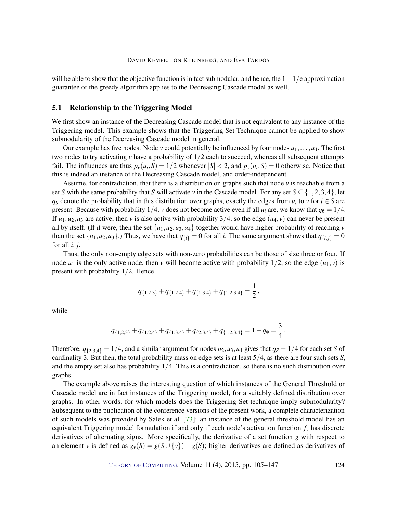<span id="page-19-0"></span>will be able to show that the objective function is in fact submodular, and hence, the  $1-1/e$  approximation guarantee of the greedy algorithm applies to the Decreasing Cascade model as well.

#### 5.1 Relationship to the Triggering Model

We first show an instance of the Decreasing Cascade model that is not equivalent to any instance of the Triggering model. This example shows that the Triggering Set Technique cannot be applied to show submodularity of the Decreasing Cascade model in general.

Our example has five nodes. Node *v* could potentially be influenced by four nodes  $u_1, \ldots, u_4$ . The first two nodes to try activating *v* have a probability of 1/2 each to succeed, whereas all subsequent attempts fail. The influences are thus  $p_v(u_i, S) = 1/2$  whenever  $|S| < 2$ , and  $p_v(u_i, S) = 0$  otherwise. Notice that this is indeed an instance of the Decreasing Cascade model, and order-independent.

Assume, for contradiction, that there is a distribution on graphs such that node *v* is reachable from a set *S* with the same probability that *S* will activate *v* in the Cascade model. For any set  $S \subseteq \{1,2,3,4\}$ , let *q*<sub>*S*</sub> denote the probability that in this distribution over graphs, exactly the edges from  $u_i$  to *v* for  $i \in S$  are present. Because with probability  $1/4$ , *v* does not become active even if all  $u_i$  are, we know that  $q_0 = 1/4$ . If  $u_1, u_2, u_3$  are active, then *v* is also active with probability  $3/4$ , so the edge  $(u_4, v)$  can never be present all by itself. (If it were, then the set  $\{u_1, u_2, u_3, u_4\}$  together would have higher probability of reaching *v* than the set  $\{u_1, u_2, u_3\}$ .) Thus, we have that  $q_{\{i\}} = 0$  for all *i*. The same argument shows that  $q_{\{i,j\}} = 0$ for all *i*, *j*.

Thus, the only non-empty edge sets with non-zero probabilities can be those of size three or four. If node  $u_1$  is the only active node, then *v* will become active with probability  $1/2$ , so the edge  $(u_1, v)$  is present with probability 1/2. Hence,

$$
q_{\{1,2,3\}}+q_{\{1,2,4\}}+q_{\{1,3,4\}}+q_{\{1,2,3,4\}}=\frac{1}{2},
$$

while

$$
q_{\{1,2,3\}}+q_{\{1,2,4\}}+q_{\{1,3,4\}}+q_{\{2,3,4\}}+q_{\{1,2,3,4\}}=1-q_0=\frac{3}{4}.
$$

Therefore,  $q_{\{2,3,4\}} = 1/4$ , and a similar argument for nodes  $u_2, u_3, u_4$  gives that  $q_s = 1/4$  for each set *S* of cardinality 3. But then, the total probability mass on edge sets is at least 5/4, as there are four such sets *S*, and the empty set also has probability 1/4. This is a contradiction, so there is no such distribution over graphs.

The example above raises the interesting question of which instances of the General Threshold or Cascade model are in fact instances of the Triggering model, for a suitably defined distribution over graphs. In other words, for which models does the Triggering Set technique imply submodularity? Subsequent to the publication of the conference versions of the present work, a complete characterization of such models was provided by Salek et al. [\[73\]](#page-40-9): an instance of the general threshold model has an equivalent Triggering model formulation if and only if each node's activation function *f<sup>v</sup>* has discrete derivatives of alternating signs. More specifically, the derivative of a set function *g* with respect to an element *v* is defined as  $g_v(S) = g(S \cup \{v\}) - g(S)$ ; higher derivatives are defined as derivatives of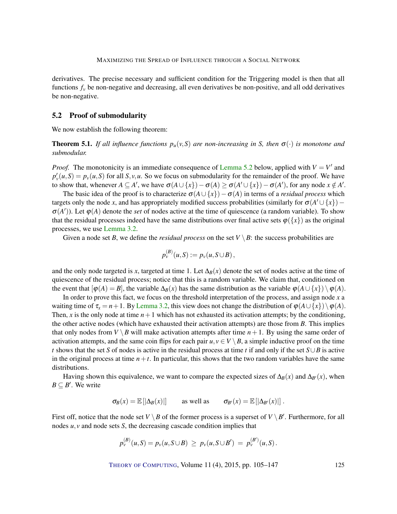derivatives. The precise necessary and sufficient condition for the Triggering model is then that all functions  $f_\nu$  be non-negative and decreasing, all even derivatives be non-positive, and all odd derivatives be non-negative.

#### 5.2 Proof of submodularity

We now establish the following theorem:

<span id="page-20-0"></span>**Theorem 5.1.** *If all influence functions*  $p_u(v, S)$  *are non-increasing in S, then*  $\sigma(\cdot)$  *is monotone and submodular.*

*Proof.* The monotonicity is an immediate consequence of [Lemma](#page-21-1) [5.2](#page-21-1) below, applied with  $V = V'$  and  $p'_v(u, S) = p_v(u, S)$  for all *S*, *v*, *u*. So we focus on submodularity for the remainder of the proof. We have to show that, whenever  $A \subseteq A'$ , we have  $\sigma(A \cup \{x\}) - \sigma(A) \ge \sigma(A' \cup \{x\}) - \sigma(A')$ , for any node  $x \notin A'$ .

The basic idea of the proof is to characterize  $\sigma(A \cup \{x\}) - \sigma(A)$  in terms of a *residual process* which targets only the node *x*, and has appropriately modified success probabilities (similarly for  $\sigma(A' \cup \{x\})$  –  $\sigma(A')$ ). Let  $\varphi(A)$  denote the *set* of nodes active at the time of quiescence (a random variable). To show that the residual processes indeed have the same distributions over final active sets  $\varphi({x})$  as the original processes, we use [Lemma](#page-11-0) [3.2.](#page-11-0)

Given a node set *B*, we define the *residual process* on the set  $V \setminus B$ : the success probabilities are

$$
p_{\nu}^{(B)}(u,S) := p_{\nu}(u,S \cup B),
$$

and the only node targeted is *x*, targeted at time 1. Let  $\Delta_B(x)$  denote the set of nodes active at the time of quiescence of the residual process; notice that this is a random variable. We claim that, conditioned on the event that  $[\varphi(A) = B]$ , the variable  $\Delta_B(x)$  has the same distribution as the variable  $\varphi(A \cup \{x\}) \setminus \varphi(A)$ .

In order to prove this fact, we focus on the threshold interpretation of the process, and assign node *x* a waiting time of  $\tau_x = n+1$ . By [Lemma](#page-11-0) [3.2,](#page-11-0) this view does not change the distribution of  $\varphi(A \cup \{x\}) \setminus \varphi(A)$ . Then, x is the only node at time  $n+1$  which has not exhausted its activation attempts; by the conditioning, the other active nodes (which have exhausted their activation attempts) are those from *B*. This implies that only nodes from *V*  $\setminus$  *B* will make activation attempts after time *n* + 1. By using the same order of activation attempts, and the same coin flips for each pair  $u, v \in V \setminus B$ , a simple inductive proof on the time *t* shows that the set *S* of nodes is active in the residual process at time *t* if and only if the set *S*∪*B* is active in the original process at time  $n+t$ . In particular, this shows that the two random variables have the same distributions.

Having shown this equivalence, we want to compare the expected sizes of  $\Delta_B(x)$  and  $\Delta_{B'}(x)$ , when  $B \subseteq B'$ . We write

$$
\sigma_B(x) = \mathbb{E}\left[|\Delta_B(x)|\right] \quad \text{as well as} \quad \sigma_{B'}(x) = \mathbb{E}\left[|\Delta_{B'}(x)|\right].
$$

First off, notice that the node set  $V \setminus B$  of the former process is a superset of  $V \setminus B'$ . Furthermore, for all nodes *u*, *v* and node sets *S*, the decreasing cascade condition implies that

$$
p_{\nu}^{(B)}(u,S) = p_{\nu}(u,S \cup B) \ge p_{\nu}(u,S \cup B') = p_{\nu}^{(B')}(u,S).
$$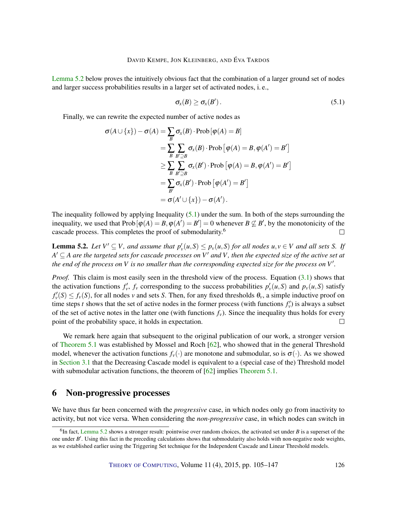<span id="page-21-3"></span>[Lemma](#page-21-1) [5.2](#page-21-1) below proves the intuitively obvious fact that the combination of a larger ground set of nodes and larger success probabilities results in a larger set of activated nodes, i. e.,

<span id="page-21-2"></span>
$$
\sigma_x(B) \geq \sigma_x(B'). \tag{5.1}
$$

Finally, we can rewrite the expected number of active nodes as

$$
\sigma(A \cup \{x\}) - \sigma(A) = \sum_{B} \sigma_{x}(B) \cdot \text{Prob} \left[\varphi(A) = B\right]
$$
  
\n
$$
= \sum_{B} \sum_{B' \supseteq B} \sigma_{x}(B) \cdot \text{Prob} \left[\varphi(A) = B, \varphi(A') = B'\right]
$$
  
\n
$$
\geq \sum_{B} \sum_{B' \supseteq B} \sigma_{x}(B') \cdot \text{Prob} \left[\varphi(A) = B, \varphi(A') = B'\right]
$$
  
\n
$$
= \sum_{B'} \sigma_{x}(B') \cdot \text{Prob} \left[\varphi(A') = B'\right]
$$
  
\n
$$
= \sigma(A' \cup \{x\}) - \sigma(A').
$$

The inequality followed by applying Inequality [\(5.1\)](#page-21-2) under the sum. In both of the steps surrounding the inequality, we used that  $Prob[\varphi(A) = B, \varphi(A') = B'] = 0$  whenever  $B \not\subseteq B'$ , by the monotonicity of the cascade process. This completes the proof of submodularity.<sup>6</sup>  $\Box$ 

<span id="page-21-1"></span>**Lemma 5.2.** Let  $V' \subseteq V$ , and assume that  $p'_v(u, S) \leq p_v(u, S)$  for all nodes  $u, v \in V$  and all sets S. If  $A' \subseteq A$  are the targeted sets for cascade processes on  $V'$  and  $V$ , then the expected size of the active set at *the end of the process on V is no smaller than the corresponding expected size for the process on*  $V'$ *.* 

*Proof.* This claim is most easily seen in the threshold view of the process. Equation [\(3.1\)](#page-10-1) shows that the activation functions  $f'_v$ ,  $f_v$  corresponding to the success probabilities  $p'_v(u, S)$  and  $p_v(u, S)$  satisfy  $f'_v(S) \le f_v(S)$ , for all nodes *v* and sets *S*. Then, for any fixed thresholds  $\theta_v$ , a simple inductive proof on time steps *t* shows that the set of active nodes in the former process (with functions  $f'_v$ ) is always a subset of the set of active notes in the latter one (with functions  $f<sub>v</sub>$ ). Since the inequality thus holds for every point of the probability space, it holds in expectation.  $\Box$ 

We remark here again that subsequent to the original publication of our work, a stronger version of [Theorem](#page-20-0) [5.1](#page-20-0) was established by Mossel and Roch [\[62\]](#page-39-5), who showed that in the general Threshold model, whenever the activation functions  $f_v(\cdot)$  are monotone and submodular, so is  $\sigma(\cdot)$ . As we showed in [Section](#page-12-1) [3.1](#page-12-1) that the Decreasing Cascade model is equivalent to a (special case of the) Threshold model with submodular activation functions, the theorem of [\[62\]](#page-39-5) implies [Theorem](#page-20-0) [5.1.](#page-20-0)

# <span id="page-21-0"></span>6 Non-progressive processes

We have thus far been concerned with the *progressive* case, in which nodes only go from inactivity to activity, but not vice versa. When considering the *non-progressive* case, in which nodes can switch in

 ${}^{6}$ In fact, [Lemma](#page-21-1) [5.2](#page-21-1) shows a stronger result: pointwise over random choices, the activated set under *B* is a superset of the one under *B'*. Using this fact in the preceding calculations shows that submodularity also holds with non-negative node weights, as we established earlier using the Triggering Set technique for the Independent Cascade and Linear Threshold models.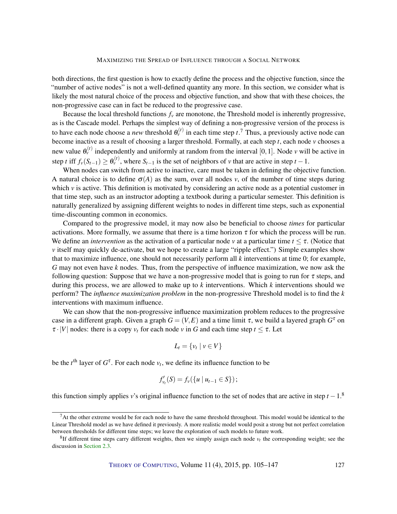both directions, the first question is how to exactly define the process and the objective function, since the "number of active nodes" is not a well-defined quantity any more. In this section, we consider what is likely the most natural choice of the process and objective function, and show that with these choices, the non-progressive case can in fact be reduced to the progressive case.

Because the local threshold functions  $f<sub>v</sub>$  are monotone, the Threshold model is inherently progressive, as is the Cascade model. Perhaps the simplest way of defining a non-progressive version of the process is to have each node choose a *new* threshold  $\theta_{\nu}^{(t)}$  in each time step  $t$ .<sup>7</sup> Thus, a previously active node can become inactive as a result of choosing a larger threshold. Formally, at each step *t*, each node *v* chooses a new value  $\theta_{\nu}^{(t)}$  independently and uniformly at random from the interval [0,1]. Node *v* will be active in step *t* iff  $f_v(S_{t-1}) \ge \theta_v^{(t)}$ , where  $S_{t-1}$  is the set of neighbors of *v* that are active in step  $t-1$ .

When nodes can switch from active to inactive, care must be taken in defining the objective function. A natural choice is to define  $\sigma(A)$  as the sum, over all nodes *v*, of the number of time steps during which  $\nu$  is active. This definition is motivated by considering an active node as a potential customer in that time step, such as an instructor adopting a textbook during a particular semester. This definition is naturally generalized by assigning different weights to nodes in different time steps, such as exponential time-discounting common in economics.

Compared to the progressive model, it may now also be beneficial to choose *times* for particular activations. More formally, we assume that there is a time horizon  $\tau$  for which the process will be run. We define an *intervention* as the activation of a particular node *v* at a particular time  $t \leq \tau$ . (Notice that *v* itself may quickly de-activate, but we hope to create a large "ripple effect.") Simple examples show that to maximize influence, one should not necessarily perform all *k* interventions at time 0; for example, *G* may not even have *k* nodes. Thus, from the perspective of influence maximization, we now ask the following question: Suppose that we have a non-progressive model that is going to run for  $\tau$  steps, and during this process, we are allowed to make up to *k* interventions. Which *k* interventions should we perform? The *influence maximization problem* in the non-progressive Threshold model is to find the *k* interventions with maximum influence.

We can show that the non-progressive influence maximization problem reduces to the progressive case in a different graph. Given a graph  $G = (V, E)$  and a time limit  $\tau$ , we build a layered graph  $G^{\tau}$  on  $\tau \cdot |V|$  nodes: there is a copy  $v_t$  for each node *v* in *G* and each time step  $t \leq \tau$ . Let

$$
L_t = \{v_t \mid v \in V\}
$$

be the  $t^{\text{th}}$  layer of  $G^{\tau}$ . For each node  $v_t$ , we define its influence function to be

$$
f'_{v_t}(S) = f_v(\{u \mid u_{t-1} \in S\});
$$

this function simply applies *v*'s original influence function to the set of nodes that are active in step  $t - 1$ .<sup>8</sup>

 $<sup>7</sup>$ At the other extreme would be for each node to have the same threshold throughout. This model would be identical to the</sup> Linear Threshold model as we have defined it previously. A more realistic model would posit a strong but not perfect correlation between thresholds for different time steps; we leave the exploration of such models to future work.

 ${}^{8}$ If different time steps carry different weights, then we simply assign each node  $v<sub>t</sub>$  the corresponding weight; see the discussion in [Section](#page-9-1) [2.3.](#page-9-1)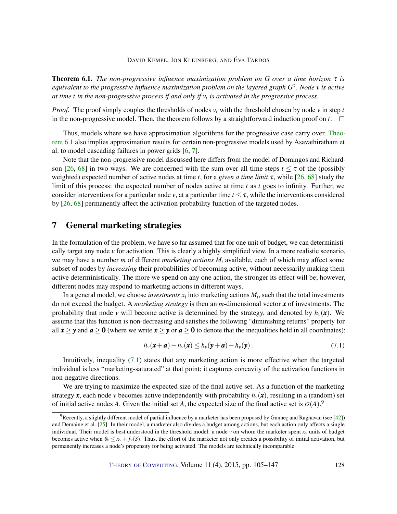<span id="page-23-3"></span><span id="page-23-1"></span>Theorem 6.1. *The non-progressive influence maximization problem on G over a time horizon* τ *is equivalent to the progressive influence maximization problem on the layered graph G* τ *. Node v is active at time t in the non-progressive process if and only if v<sup>t</sup> is activated in the progressive process.*

*Proof.* The proof simply couples the thresholds of nodes  $v_t$  with the threshold chosen by node  $v$  in step  $t$ in the non-progressive model. Then, the theorem follows by a straightforward induction proof on  $t$ .  $\Box$ 

Thus, models where we have approximation algorithms for the progressive case carry over. [Theo](#page-23-1)[rem](#page-23-1) [6.1](#page-23-1) also implies approximation results for certain non-progressive models used by Asavathiratham et al. to model cascading failures in power grids [\[6,](#page-34-1) [7\]](#page-34-0).

Note that the non-progressive model discussed here differs from the model of Domingos and Richard-son [\[26,](#page-36-1) [68\]](#page-39-2) in two ways. We are concerned with the sum over all time steps  $t < \tau$  of the (possibly weighted) expected number of active nodes at time *t*, for a *given a time limit* τ, while [\[26,](#page-36-1) [68\]](#page-39-2) study the limit of this process: the expected number of nodes active at time *t* as *t* goes to infinity. Further, we consider interventions for a particular node *v*, at a particular time  $t < \tau$ , while the interventions considered by [\[26,](#page-36-1) [68\]](#page-39-2) permanently affect the activation probability function of the targeted nodes.

# <span id="page-23-0"></span>7 General marketing strategies

In the formulation of the problem, we have so far assumed that for one unit of budget, we can deterministically target any node *v* for activation. This is clearly a highly simplified view. In a more realistic scenario, we may have a number *m* of different *marketing actions M<sup>i</sup>* available, each of which may affect some subset of nodes by *increasing* their probabilities of becoming active, without necessarily making them active deterministically. The more we spend on any one action, the stronger its effect will be; however, different nodes may respond to marketing actions in different ways.

In a general model, we choose *investments*  $x_i$  into marketing actions  $M_i$ , such that the total investments do not exceed the budget. A *marketing strategy* is then an *m*-dimensional vector *x* of investments. The probability that node *v* will become active is determined by the strategy, and denoted by  $h<sub>v</sub>(\mathbf{x})$ . We assume that this function is non-decreasing and satisfies the following "diminishing returns" property for all  $x \ge y$  and  $a \ge 0$  (where we write  $x \ge y$  or  $a \ge 0$  to denote that the inequalities hold in all coordinates):

<span id="page-23-2"></span>
$$
h_{\nu}(\mathbf{x}+\boldsymbol{a})-h_{\nu}(\mathbf{x})\leq h_{\nu}(\mathbf{y}+\boldsymbol{a})-h_{\nu}(\mathbf{y}). \qquad (7.1)
$$

Intuitively, inequality [\(7.1\)](#page-23-2) states that any marketing action is more effective when the targeted individual is less "marketing-saturated" at that point; it captures concavity of the activation functions in non-negative directions.

We are trying to maximize the expected size of the final active set. As a function of the marketing strategy  $x$ , each node *v* becomes active independently with probability  $h<sub>v</sub>(x)$ , resulting in a (random) set of initial active nodes *A*. Given the initial set *A*, the expected size of the final active set is  $\sigma(A)$ .<sup>9</sup>

 $^{9}$ Recently, a slightly different model of partial influence by a marketer has been proposed by Günneç and Raghavan (see [\[42\]](#page-37-7)) and Demaine et al.  $[25]$ . In their model, a marketer also divides a budget among actions, but each action only affects a single individual. Their model is best understood in the threshold model: a node  $\nu$  on whom the marketer spent  $x_\nu$  units of budget becomes active when  $\theta_v \leq x_v + f_v(S)$ . Thus, the effort of the marketer not only creates a possibility of initial activation, but permanently increases a node's propensity for being activated. The models are technically incomparable.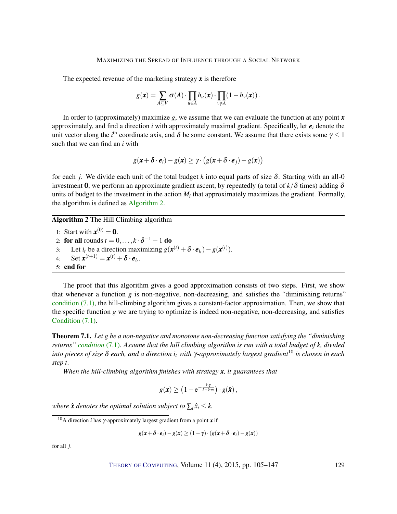The expected revenue of the marketing strategy *x* is therefore

$$
g(\mathbf{x}) = \sum_{A \subseteq V} \sigma(A) \cdot \prod_{u \in A} h_u(\mathbf{x}) \cdot \prod_{v \notin A} (1 - h_v(\mathbf{x})).
$$

In order to (approximately) maximize *g*, we assume that we can evaluate the function at any point *x* approximately, and find a direction *i* with approximately maximal gradient. Specifically, let  $e_i$  denote the unit vector along the *i*<sup>th</sup> coordinate axis, and  $\delta$  be some constant. We assume that there exists some  $\gamma \le 1$ such that we can find an *i* with

$$
g(\mathbf{x} + \delta \cdot \mathbf{e}_i) - g(\mathbf{x}) \ge \gamma \cdot (g(\mathbf{x} + \delta \cdot \mathbf{e}_j) - g(\mathbf{x}))
$$

for each *j*. We divide each unit of the total budget *k* into equal parts of size δ. Starting with an all-0 investment 0, we perform an approximate gradient ascent, by repeatedly (a total of  $k/\delta$  times) adding  $\delta$ units of budget to the investment in the action  $M_i$  that approximately maximizes the gradient. Formally, the algorithm is defined as [Algorithm](#page-0-0) [2.](#page-0-0)

Algorithm 2 The Hill Climbing algorithm

1: Start with  $\mathbf{x}^{(0)} = \mathbf{0}$ . 2: **for all** rounds  $t = 0, \ldots, k \cdot \delta^{-1} - 1$  **do** 3: Let  $i_t$  be a direction maximizing  $g(x^{(t)} + \delta \cdot \mathbf{e}_{i_t}) - g(x^{(t)})$ . 4: Set  $x^{(t+1)} = x^{(t)} + \delta \cdot e_{i_t}$ . 5: end for

The proof that this algorithm gives a good approximation consists of two steps. First, we show that whenever a function *g* is non-negative, non-decreasing, and satisfies the "diminishing returns" [condition](#page-23-2)  $(7.1)$ , the hill-climbing algorithm gives a constant-factor approximation. Then, we show that the specific function *g* we are trying to optimize is indeed non-negative, non-decreasing, and satisfies Condition  $(7.1)$ .

<span id="page-24-0"></span>Theorem 7.1. *Let g be a non-negative and monotone non-decreasing function satisfying the "diminishing returns" [condition](#page-23-2)* [\(7.1\)](#page-23-2)*. Assume that the hill climbing algorithm is run with a total budget of k, divided into pieces of size* δ *each, and a direction i<sup>t</sup> with* γ*-approximately largest gradient*<sup>10</sup> *is chosen in each step t.*

*When the hill-climbing algorithm finishes with strategy x, it guarantees that*

$$
g(\pmb x) \geq \left(1 - \mathrm e^{-\frac{k \cdot \gamma}{k + \delta \cdot m}}\right) \cdot g(\hat{\pmb x})\,,
$$

*where*  $\hat{\textbf{x}}$  denotes the optimal solution subject to  $\sum_i \hat{x}_i \leq k$ .

$$
g(\mathbf{x} + \delta \cdot \mathbf{e}_i) - g(\mathbf{x}) \ge (1 - \gamma) \cdot (g(\mathbf{x} + \delta \cdot \mathbf{e}_i) - g(\mathbf{x}))
$$

for all *j*.

<sup>10</sup>A direction *i* has γ-approximately largest gradient from a point *x* if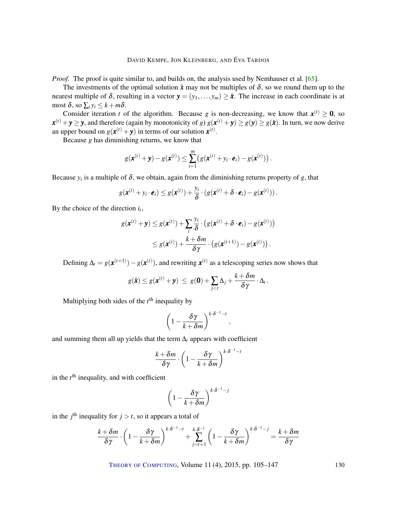<span id="page-25-0"></span>*Proof.* The proof is quite similar to, and builds on, the analysis used by Nemhauser et al. [\[65\]](#page-39-4).

The investments of the optimal solution  $\hat{x}$  may not be multiples of  $\delta$ , so we round them up to the nearest multiple of  $\delta$ , resulting in a vector  $y = (y_1, \ldots, y_m) \geq \hat{x}$ . The increase in each coordinate is at most  $\delta$ , so  $\sum_i y_i \leq k + m\delta$ .

Consider iteration *t* of the algorithm. Because *g* is non-decreasing, we know that  $x^{(t)} \ge 0$ , so  $x^{(t)} + y \ge y$ , and therefore (again by monotonicity of *g*)  $g(x^{(t)} + y) \ge g(y) \ge g(\hat{x})$ . In turn, we now derive an upper bound on  $g(x^{(t)} + y)$  in terms of our solution  $x^{(t)}$ .

Because *g* has diminishing returns, we know that

$$
g(\mathbf{x}^{(t)} + \mathbf{y}) - g(\mathbf{x}^{(t)}) \leq \sum_{i=1}^{m} (g(\mathbf{x}^{(t)} + y_i \cdot \mathbf{e}_i) - g(\mathbf{x}^{(t)}))
$$

Because  $y_i$  is a multiple of  $\delta$ , we obtain, again from the diminishing returns property of *g*, that

$$
g(\boldsymbol{x}^{(t)}+y_i\cdot \boldsymbol{e}_i)\leq g(\boldsymbol{x}^{(t)})+\frac{y_i}{\delta}\cdot(g(\boldsymbol{x}^{(t)}+\boldsymbol{\delta}\cdot \boldsymbol{e}_i)-g(\boldsymbol{x}^{(t)}))\,.
$$

By the choice of the direction  $i_t$ ,

$$
g(\mathbf{x}^{(t)} + \mathbf{y}) \leq g(\mathbf{x}^{(t)}) + \sum_{i} \frac{y_i}{\delta} \cdot (g(\mathbf{x}^{(t)} + \delta \cdot \mathbf{e}_i) - g(\mathbf{x}^{(t)}))
$$
  

$$
\leq g(\mathbf{x}^{(t)}) + \frac{k + \delta m}{\delta \gamma} \cdot (g(\mathbf{x}^{(t+1)}) - g(\mathbf{x}^{(t)})).
$$

Defining  $\Delta_t = g(\mathbf{x}^{(t+1)}) - g(\mathbf{x}^{(t)})$ , and rewriting  $\mathbf{x}^{(t)}$  as a telescoping series now shows that

$$
g(\hat{\bm x}) \leq g(\bm x^{(t)} + \bm y) \ \leq \ g(\bm 0) + \sum_{j < t} \Delta_j + \frac{k + \delta m}{\delta \gamma} \cdot \Delta_t \,.
$$

Multiplying both sides of the  $t<sup>th</sup>$  inequality by

$$
\left(1-\frac{\delta\gamma}{k+\delta m}\right)^{k\cdot\delta^{-1}-t},
$$

and summing them all up yields that the term  $\Delta_t$  appears with coefficient

$$
\frac{k+\delta m}{\delta \gamma} \cdot \left(1-\frac{\delta \gamma}{k+\delta m}\right)^{k \cdot \delta^{-1}-t}
$$

in the *t*<sup>th</sup> inequality, and with coefficient

$$
\left(1 - \frac{\delta \gamma}{k + \delta m}\right)^{k \cdot \delta^{-1} - j}
$$

in the  $j^{\text{th}}$  inequality for  $j > t$ , so it appears a total of

$$
\frac{k+\delta m}{\delta \gamma} \cdot \left(1 - \frac{\delta \gamma}{k+\delta m}\right)^{k \cdot \delta^{-1}-t} + \sum_{j=t+1}^{k \cdot \delta^{-1}} \left(1 - \frac{\delta \gamma}{k+\delta m}\right)^{k \cdot \delta^{-1}-j} = \frac{k+\delta m}{\delta \gamma}
$$

THEORY OF C[OMPUTING](http://dx.doi.org/10.4086/toc), Volume 11(4), 2015, pp. 105–147 130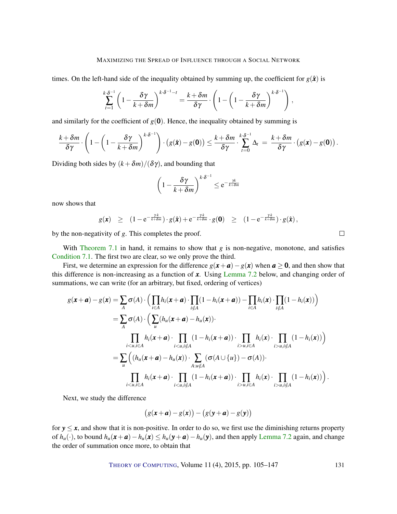times. On the left-hand side of the inequality obtained by summing up, the coefficient for  $g(\hat{x})$  is

$$
\sum_{t=1}^{k \cdot \delta^{-1}} \left(1 - \frac{\delta \gamma}{k + \delta m}\right)^{k \cdot \delta^{-1} - t} = \frac{k + \delta m}{\delta \gamma} \cdot \left(1 - \left(1 - \frac{\delta \gamma}{k + \delta m}\right)^{k \cdot \delta^{-1}}\right),
$$

and similarly for the coefficient of  $g(0)$ . Hence, the inequality obtained by summing is

$$
\frac{k+\delta m}{\delta \gamma}\cdot \left(1-\left(1-\frac{\delta \gamma}{k+\delta m}\right)^{k\cdot \delta^{-1}}\right)\cdot \left(g(\hat{\boldsymbol{x}})-g(\boldsymbol{0})\right)\leq \frac{k+\delta m}{\delta \gamma}\cdot \sum_{t=0}^{k\cdot \delta^{-1}}\Delta_t\;=\;\frac{k+\delta m}{\delta \gamma}\cdot \left(g(\boldsymbol{x})-g(\boldsymbol{0})\right).
$$

Dividing both sides by  $(k + \delta m)/(\delta \gamma)$ , and bounding that

$$
\left(1 - \frac{\delta \gamma}{k + \delta m}\right)^{k \cdot \delta^{-1}} \le e^{-\frac{\gamma k}{k + \delta m}}
$$

now shows that

$$
g(\pmb{x}) \geq (1 - e^{-\frac{\gamma k}{k + \delta m}}) \cdot g(\hat{\pmb{x}}) + e^{-\frac{\gamma k}{k + \delta m}} \cdot g(\pmb{0}) \geq (1 - e^{-\frac{\gamma k}{k + \delta m}}) \cdot g(\hat{\pmb{x}}),
$$

 $\Box$ 

by the non-negativity of *g*. This completes the proof.

With [Theorem](#page-24-0) [7.1](#page-24-0) in hand, it remains to show that  $g$  is non-negative, monotone, and satisfies [Condition](#page-23-2) [7.1.](#page-23-2) The first two are clear, so we only prove the third.

First, we determine an expression for the difference  $g(x + a) - g(x)$  when  $a \ge 0$ , and then show that this difference is non-increasing as a function of *x*. Using [Lemma](#page-27-0) [7.2](#page-27-0) below, and changing order of summations, we can write (for an arbitrary, but fixed, ordering of vertices)

$$
g(\mathbf{x}+\mathbf{a})-g(\mathbf{x}) = \sum_{A} \sigma(A) \cdot \Big( \prod_{i \in A} h_i(\mathbf{x}+\mathbf{a}) \cdot \prod_{i \notin A} (1-h_i(\mathbf{x}+\mathbf{a})) - \prod_{i \in A} h_i(\mathbf{x}) \cdot \prod_{i \notin A} (1-h_i(\mathbf{x})) \Big)
$$
  
\n
$$
= \sum_{A} \sigma(A) \cdot \Big( \sum_{u} (h_u(\mathbf{x}+\mathbf{a})-h_u(\mathbf{x})) \cdot \prod_{i \le u, i \notin A} h_i(\mathbf{x}+\mathbf{a}) \cdot \prod_{i>u, i \in A} h_i(\mathbf{x}) \cdot \prod_{i>u, i \notin A} (1-h_i(\mathbf{x})) \Big)
$$
  
\n
$$
= \sum_{u} \Big( (h_u(\mathbf{x}+\mathbf{a})-h_u(\mathbf{x})) \cdot \sum_{A: u \notin A} (\sigma(A \cup \{u\}) - \sigma(A)) \cdot \prod_{i>u, i \notin A} h_i(\mathbf{x}) \cdot \prod_{i>u, i \notin A} (1-h_i(\mathbf{x})) \Big)
$$
  
\n
$$
\prod_{i \le u, i \in A} h_i(\mathbf{x}+\mathbf{a}) \cdot \prod_{i \le u, i \notin A} (1-h_i(\mathbf{x}+\mathbf{a})) \cdot \prod_{i>u, i \in A} h_i(\mathbf{x}) \cdot \prod_{i>u, i \notin A} (1-h_i(\mathbf{x})) \Big).
$$

Next, we study the difference

$$
(g(\mathbf{x}+\mathbf{a})-g(\mathbf{x}))-(g(\mathbf{y}+\mathbf{a})-g(\mathbf{y}))
$$

for  $y \leq x$ , and show that it is non-positive. In order to do so, we first use the diminishing returns property of  $h_u(\cdot)$ , to bound  $h_u(\mathbf{x} + \mathbf{a}) - h_u(\mathbf{x}) \le h_u(\mathbf{y} + \mathbf{a}) - h_u(\mathbf{y})$ , and then apply [Lemma](#page-27-0) [7.2](#page-27-0) again, and change the order of summation once more, to obtain that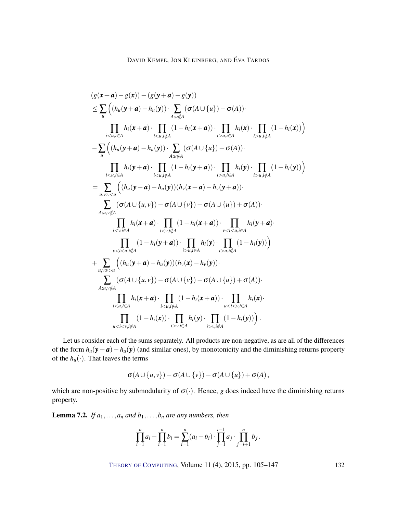$$
(g(\mathbf{x}+\mathbf{a})-g(\mathbf{x}))-(g(\mathbf{y}+\mathbf{a})-g(\mathbf{y}))
$$
\n
$$
\leq \sum_{u} ((h_u(\mathbf{y}+\mathbf{a})-h_u(\mathbf{y})) \cdot \sum_{A:u \notin A} (\sigma(A \cup \{u\})-\sigma(A)) \cdot \prod_{i>u, i \in A} h_i(\mathbf{x}+\mathbf{a}) \cdot \prod_{i>u, i \notin A} (1-h_i(\mathbf{x}+\mathbf{a})) \cdot \prod_{i>u, i \in A} h_i(\mathbf{x}) \cdot \prod_{i>u, i \notin A} (1-h_i(\mathbf{x}+\mathbf{a}))
$$
\n
$$
-\sum_{u} ((h_u(\mathbf{y}+\mathbf{a})-h_u(\mathbf{y})) \cdot \sum_{A:u \notin A} (\sigma(A \cup \{u\})-\sigma(A)) \cdot \prod_{i>u, i \in A} h_i(\mathbf{y}) \cdot \prod_{i>u, i \notin A} (1-h_i(\mathbf{y}+\mathbf{a})) \cdot \prod_{i>u, i \in A} h_i(\mathbf{y}) \cdot \prod_{i>u, i \notin A} (1-h_i(\mathbf{y})))
$$
\n
$$
=\sum_{u,v:v < u} ((h_u(\mathbf{y}+\mathbf{a})-h_u(\mathbf{y}))(h_v(\mathbf{x}+\mathbf{a})-h_v(\mathbf{y}+\mathbf{a})) \cdot \prod_{i>u, i \notin A} (1-h_i(\mathbf{y})))
$$
\n
$$
\sum_{A:u,v \notin A} (\sigma(A \cup \{u,v\})-\sigma(A \cup \{v\})-\sigma(A \cup \{u\})+\sigma(A)) \cdot \prod_{i< v, i \in A} h_i(\mathbf{y}+\mathbf{a}) \cdot \prod_{i< v, i \in A} (1-h_i(\mathbf{y}+\mathbf{a})) \cdot \prod_{v< i< u, i \in A} h_i(\mathbf{y}+\mathbf{a}) \cdot \prod_{v< i< u, i \notin A} (1-h_i(\mathbf{y}+\mathbf{a})) \cdot \prod_{v>u, i \in A} h_i(\mathbf{y}+\mathbf{a}) \cdot \prod_{v< i< u, i \notin A} (1-h_i(\mathbf{y}+\mathbf{a})) \cdot \prod_{A:u,v \notin A} (h_u(\mathbf{y}+\mathbf{a})-h_u(\mathbf{
$$

Let us consider each of the sums separately. All products are non-negative, as are all of the differences of the form  $h_u(\mathbf{y} + \mathbf{a}) - h_u(\mathbf{y})$  (and similar ones), by monotonicity and the diminishing returns property of the  $h_u(\cdot)$ . That leaves the terms

$$
\sigma(A \cup \{u,v\}) - \sigma(A \cup \{v\}) - \sigma(A \cup \{u\}) + \sigma(A),
$$

which are non-positive by submodularity of  $\sigma(\cdot)$ . Hence, *g* does indeed have the diminishing returns property.

<span id="page-27-0"></span>**Lemma 7.2.** *If*  $a_1, \ldots, a_n$  *and*  $b_1, \ldots, b_n$  *are any numbers, then* 

$$
\prod_{i=1}^n a_i - \prod_{i=1}^n b_i = \sum_{i=1}^n (a_i - b_i) \cdot \prod_{j=1}^{i-1} a_j \cdot \prod_{j=i+1}^n b_j.
$$

THEORY OF C[OMPUTING](http://dx.doi.org/10.4086/toc), Volume 11 (4), 2015, pp. 105–147 132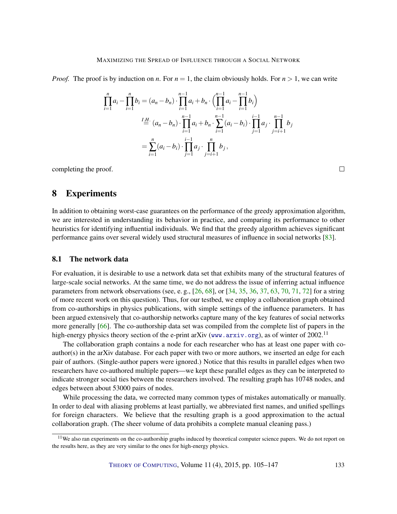<span id="page-28-1"></span>*Proof.* The proof is by induction on *n*. For  $n = 1$ , the claim obviously holds. For  $n > 1$ , we can write

$$
\prod_{i=1}^{n} a_i - \prod_{i=1}^{n} b_i = (a_n - b_n) \cdot \prod_{i=1}^{n-1} a_i + b_n \cdot \left( \prod_{i=1}^{n-1} a_i - \prod_{i=1}^{n-1} b_i \right)
$$
\n
$$
\stackrel{\text{I.H.}}{=} (a_n - b_n) \cdot \prod_{i=1}^{n-1} a_i + b_n \cdot \sum_{i=1}^{n-1} (a_i - b_i) \cdot \prod_{j=1}^{i-1} a_j \cdot \prod_{j=i+1}^{n-1} b_j
$$
\n
$$
= \sum_{i=1}^{n} (a_i - b_i) \cdot \prod_{j=1}^{i-1} a_j \cdot \prod_{j=i+1}^{n} b_j,
$$

completing the proof.

 $\Box$ 

# <span id="page-28-0"></span>8 Experiments

In addition to obtaining worst-case guarantees on the performance of the greedy approximation algorithm, we are interested in understanding its behavior in practice, and comparing its performance to other heuristics for identifying influential individuals. We find that the greedy algorithm achieves significant performance gains over several widely used structural measures of influence in social networks [\[83\]](#page-41-5).

#### 8.1 The network data

For evaluation, it is desirable to use a network data set that exhibits many of the structural features of large-scale social networks. At the same time, we do not address the issue of inferring actual influence parameters from network observations (see, e.g.,  $[26, 68]$  $[26, 68]$  $[26, 68]$ , or  $[34, 35, 36, 37, 63, 70, 71, 72]$  $[34, 35, 36, 37, 63, 70, 71, 72]$  $[34, 35, 36, 37, 63, 70, 71, 72]$  $[34, 35, 36, 37, 63, 70, 71, 72]$  $[34, 35, 36, 37, 63, 70, 71, 72]$  $[34, 35, 36, 37, 63, 70, 71, 72]$  $[34, 35, 36, 37, 63, 70, 71, 72]$  $[34, 35, 36, 37, 63, 70, 71, 72]$  $[34, 35, 36, 37, 63, 70, 71, 72]$  $[34, 35, 36, 37, 63, 70, 71, 72]$  $[34, 35, 36, 37, 63, 70, 71, 72]$  $[34, 35, 36, 37, 63, 70, 71, 72]$  $[34, 35, 36, 37, 63, 70, 71, 72]$  $[34, 35, 36, 37, 63, 70, 71, 72]$  $[34, 35, 36, 37, 63, 70, 71, 72]$  for a string of more recent work on this question). Thus, for our testbed, we employ a collaboration graph obtained from co-authorships in physics publications, with simple settings of the influence parameters. It has been argued extensively that co-authorship networks capture many of the key features of social networks more generally [\[66\]](#page-39-12). The co-authorship data set was compiled from the complete list of papers in the high-energy physics theory section of the e-print arXiv ([www.arxiv.org](http://www.arxiv.org/)), as of winter of 2002.<sup>11</sup>

The collaboration graph contains a node for each researcher who has at least one paper with coauthor(s) in the arXiv database. For each paper with two or more authors, we inserted an edge for each pair of authors. (Single-author papers were ignored.) Notice that this results in parallel edges when two researchers have co-authored multiple papers—we kept these parallel edges as they can be interpreted to indicate stronger social ties between the researchers involved. The resulting graph has 10748 nodes, and edges between about 53000 pairs of nodes.

While processing the data, we corrected many common types of mistakes automatically or manually. In order to deal with aliasing problems at least partially, we abbreviated first names, and unified spellings for foreign characters. We believe that the resulting graph is a good approximation to the actual collaboration graph. (The sheer volume of data prohibits a complete manual cleaning pass.)

<sup>&</sup>lt;sup>11</sup>We also ran experiments on the co-authorship graphs induced by theoretical computer science papers. We do not report on the results here, as they are very similar to the ones for high-energy physics.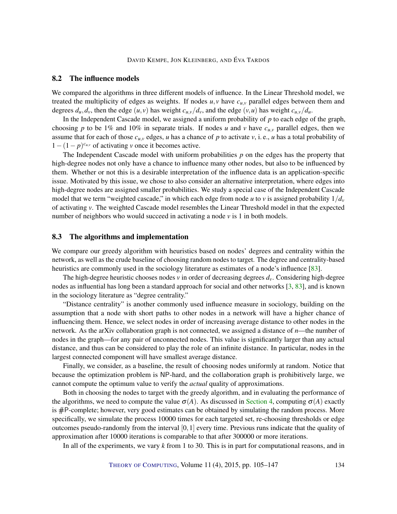## <span id="page-29-0"></span>8.2 The influence models

We compared the algorithms in three different models of influence. In the Linear Threshold model, we treated the multiplicity of edges as weights. If nodes  $u, v$  have  $c_{u,v}$  parallel edges between them and degrees  $d_u, d_v$ , then the edge  $(u, v)$  has weight  $c_{u, v}/d_v$ , and the edge  $(v, u)$  has weight  $c_{u, v}/d_u$ .

In the Independent Cascade model, we assigned a uniform probability of *p* to each edge of the graph, choosing *p* to be 1% and 10% in separate trials. If nodes *u* and *v* have  $c_{u,v}$  parallel edges, then we assume that for each of those  $c_{u,v}$  edges, *u* has a chance of *p* to activate *v*, i.e., *u* has a total probability of  $1 - (1 - p)^{c_{u,v}}$  of activating *v* once it becomes active.

The Independent Cascade model with uniform probabilities *p* on the edges has the property that high-degree nodes not only have a chance to influence many other nodes, but also to be influenced by them. Whether or not this is a desirable interpretation of the influence data is an application-specific issue. Motivated by this issue, we chose to also consider an alternative interpretation, where edges into high-degree nodes are assigned smaller probabilities. We study a special case of the Independent Cascade model that we term "weighted cascade," in which each edge from node *u* to *v* is assigned probability  $1/d<sub>v</sub>$ of activating *v*. The weighted Cascade model resembles the Linear Threshold model in that the expected number of neighbors who would succeed in activating a node *v* is 1 in both models.

#### 8.3 The algorithms and implementation

We compare our greedy algorithm with heuristics based on nodes' degrees and centrality within the network, as well as the crude baseline of choosing random nodes to target. The degree and centrality-based heuristics are commonly used in the sociology literature as estimates of a node's influence [\[83\]](#page-41-5).

The high-degree heuristic chooses nodes *v* in order of decreasing degrees  $d<sub>v</sub>$ . Considering high-degree nodes as influential has long been a standard approach for social and other networks  $\left[3, 83\right]$  $\left[3, 83\right]$  $\left[3, 83\right]$ , and is known in the sociology literature as "degree centrality."

"Distance centrality" is another commonly used influence measure in sociology, building on the assumption that a node with short paths to other nodes in a network will have a higher chance of influencing them. Hence, we select nodes in order of increasing average distance to other nodes in the network. As the arXiv collaboration graph is not connected, we assigned a distance of *n*—the number of nodes in the graph—for any pair of unconnected nodes. This value is significantly larger than any actual distance, and thus can be considered to play the role of an infinite distance. In particular, nodes in the largest connected component will have smallest average distance.

Finally, we consider, as a baseline, the result of choosing nodes uniformly at random. Notice that because the optimization problem is NP-hard, and the collaboration graph is prohibitively large, we cannot compute the optimum value to verify the *actual* quality of approximations.

Both in choosing the nodes to target with the greedy algorithm, and in evaluating the performance of the algorithms, we need to compute the value  $\sigma(A)$ . As discussed in [Section](#page-13-0) [4,](#page-13-0) computing  $\sigma(A)$  exactly is #P-complete; however, very good estimates can be obtained by simulating the random process. More specifically, we simulate the process 10000 times for each targeted set, re-choosing thresholds or edge outcomes pseudo-randomly from the interval  $[0,1]$  every time. Previous runs indicate that the quality of approximation after 10000 iterations is comparable to that after 300000 or more iterations.

In all of the experiments, we vary *k* from 1 to 30. This is in part for computational reasons, and in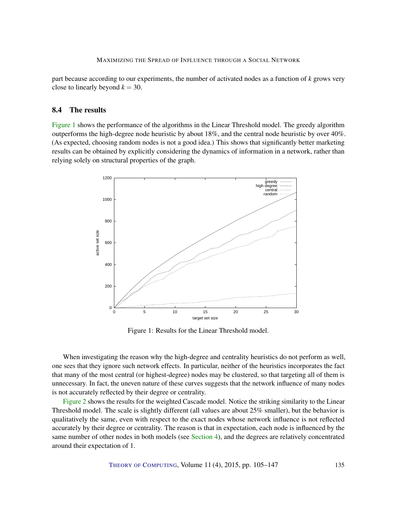part because according to our experiments, the number of activated nodes as a function of *k* grows very close to linearly beyond  $k = 30$ .

#### 8.4 The results

[Figure](#page-30-0) [1](#page-30-0) shows the performance of the algorithms in the Linear Threshold model. The greedy algorithm outperforms the high-degree node heuristic by about 18%, and the central node heuristic by over 40%. (As expected, choosing random nodes is not a good idea.) This shows that significantly better marketing results can be obtained by explicitly considering the dynamics of information in a network, rather than relying solely on structural properties of the graph.

<span id="page-30-0"></span>

Figure 1: Results for the Linear Threshold model.

When investigating the reason why the high-degree and centrality heuristics do not perform as well, one sees that they ignore such network effects. In particular, neither of the heuristics incorporates the fact that many of the most central (or highest-degree) nodes may be clustered, so that targeting all of them is unnecessary. In fact, the uneven nature of these curves suggests that the network influence of many nodes is not accurately reflected by their degree or centrality.

[Figure](#page-31-0) [2](#page-31-0) shows the results for the weighted Cascade model. Notice the striking similarity to the Linear Threshold model. The scale is slightly different (all values are about 25% smaller), but the behavior is qualitatively the same, even with respect to the exact nodes whose network influence is not reflected accurately by their degree or centrality. The reason is that in expectation, each node is influenced by the same number of other nodes in both models (see [Section](#page-13-0) [4\)](#page-13-0), and the degrees are relatively concentrated around their expectation of 1.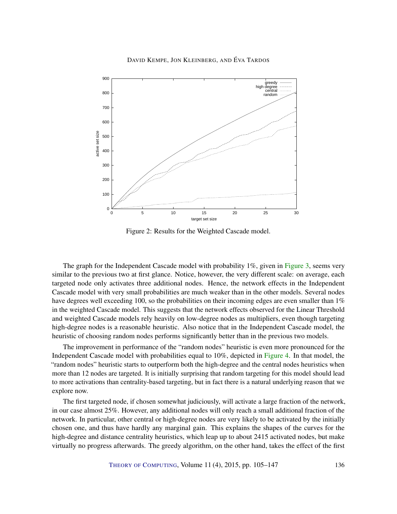<span id="page-31-0"></span>

Figure 2: Results for the Weighted Cascade model.

The graph for the Independent Cascade model with probability 1%, given in [Figure](#page-32-0) [3,](#page-32-0) seems very similar to the previous two at first glance. Notice, however, the very different scale: on average, each targeted node only activates three additional nodes. Hence, the network effects in the Independent Cascade model with very small probabilities are much weaker than in the other models. Several nodes have degrees well exceeding 100, so the probabilities on their incoming edges are even smaller than 1% in the weighted Cascade model. This suggests that the network effects observed for the Linear Threshold and weighted Cascade models rely heavily on low-degree nodes as multipliers, even though targeting high-degree nodes is a reasonable heuristic. Also notice that in the Independent Cascade model, the heuristic of choosing random nodes performs significantly better than in the previous two models.

The improvement in performance of the "random nodes" heuristic is even more pronounced for the Independent Cascade model with probabilities equal to 10%, depicted in [Figure](#page-33-0) [4.](#page-33-0) In that model, the "random nodes" heuristic starts to outperform both the high-degree and the central nodes heuristics when more than 12 nodes are targeted. It is initially surprising that random targeting for this model should lead to more activations than centrality-based targeting, but in fact there is a natural underlying reason that we explore now.

The first targeted node, if chosen somewhat judiciously, will activate a large fraction of the network, in our case almost 25%. However, any additional nodes will only reach a small additional fraction of the network. In particular, other central or high-degree nodes are very likely to be activated by the initially chosen one, and thus have hardly any marginal gain. This explains the shapes of the curves for the high-degree and distance centrality heuristics, which leap up to about 2415 activated nodes, but make virtually no progress afterwards. The greedy algorithm, on the other hand, takes the effect of the first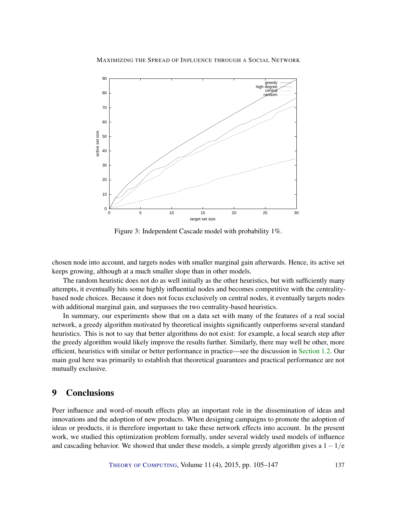<span id="page-32-0"></span>

Figure 3: Independent Cascade model with probability 1%.

chosen node into account, and targets nodes with smaller marginal gain afterwards. Hence, its active set keeps growing, although at a much smaller slope than in other models.

The random heuristic does not do as well initially as the other heuristics, but with sufficiently many attempts, it eventually hits some highly influential nodes and becomes competitive with the centralitybased node choices. Because it does not focus exclusively on central nodes, it eventually targets nodes with additional marginal gain, and surpasses the two centrality-based heuristics.

In summary, our experiments show that on a data set with many of the features of a real social network, a greedy algorithm motivated by theoretical insights significantly outperforms several standard heuristics. This is not to say that better algorithms do not exist: for example, a local search step after the greedy algorithm would likely improve the results further. Similarly, there may well be other, more efficient, heuristics with similar or better performance in practice—see the discussion in [Section](#page-3-0) [1.2.](#page-3-0) Our main goal here was primarily to establish that theoretical guarantees and practical performance are not mutually exclusive.

# 9 Conclusions

Peer influence and word-of-mouth effects play an important role in the dissemination of ideas and innovations and the adoption of new products. When designing campaigns to promote the adoption of ideas or products, it is therefore important to take these network effects into account. In the present work, we studied this optimization problem formally, under several widely used models of influence and cascading behavior. We showed that under these models, a simple greedy algorithm gives a  $1-1/e$ 

THEORY OF C[OMPUTING](http://dx.doi.org/10.4086/toc), Volume 11 (4), 2015, pp. 105–147 137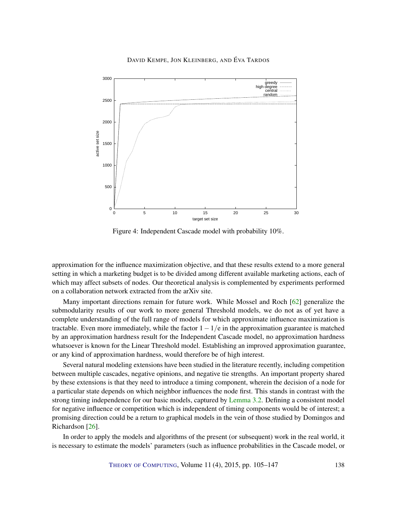<span id="page-33-1"></span><span id="page-33-0"></span>

Figure 4: Independent Cascade model with probability 10%.

approximation for the influence maximization objective, and that these results extend to a more general setting in which a marketing budget is to be divided among different available marketing actions, each of which may affect subsets of nodes. Our theoretical analysis is complemented by experiments performed on a collaboration network extracted from the arXiv site.

Many important directions remain for future work. While Mossel and Roch [\[62\]](#page-39-5) generalize the submodularity results of our work to more general Threshold models, we do not as of yet have a complete understanding of the full range of models for which approximate influence maximization is tractable. Even more immediately, while the factor  $1-1/e$  in the approximation guarantee is matched by an approximation hardness result for the Independent Cascade model, no approximation hardness whatsoever is known for the Linear Threshold model. Establishing an improved approximation guarantee, or any kind of approximation hardness, would therefore be of high interest.

Several natural modeling extensions have been studied in the literature recently, including competition between multiple cascades, negative opinions, and negative tie strengths. An important property shared by these extensions is that they need to introduce a timing component, wherein the decision of a node for a particular state depends on which neighbor influences the node first. This stands in contrast with the strong timing independence for our basic models, captured by [Lemma](#page-11-0) [3.2.](#page-11-0) Defining a consistent model for negative influence or competition which is independent of timing components would be of interest; a promising direction could be a return to graphical models in the vein of those studied by Domingos and Richardson [\[26\]](#page-36-1).

In order to apply the models and algorithms of the present (or subsequent) work in the real world, it is necessary to estimate the models' parameters (such as influence probabilities in the Cascade model, or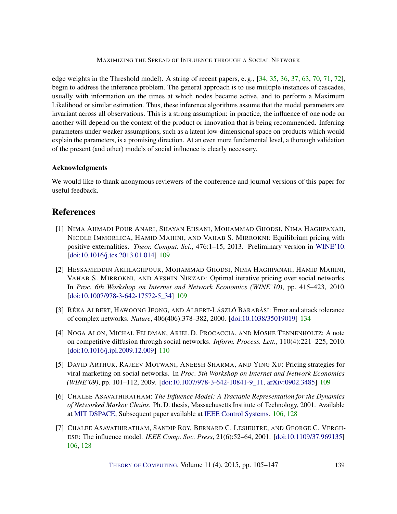<span id="page-34-7"></span>edge weights in the Threshold model). A string of recent papers, e. g., [\[34,](#page-37-8) [35,](#page-37-9) [36,](#page-37-10) [37,](#page-37-11) [63,](#page-39-10) [70,](#page-39-11) [71,](#page-40-10) [72\]](#page-40-11), begin to address the inference problem. The general approach is to use multiple instances of cascades, usually with information on the times at which nodes became active, and to perform a Maximum Likelihood or similar estimation. Thus, these inference algorithms assume that the model parameters are invariant across all observations. This is a strong assumption: in practice, the influence of one node on another will depend on the context of the product or innovation that is being recommended. Inferring parameters under weaker assumptions, such as a latent low-dimensional space on products which would explain the parameters, is a promising direction. At an even more fundamental level, a thorough validation of the present (and other) models of social influence is clearly necessary.

## Acknowledgments

We would like to thank anonymous reviewers of the conference and journal versions of this paper for useful feedback.

# **References**

- <span id="page-34-2"></span>[1] NIMA AHMADI POUR ANARI, SHAYAN EHSANI, MOHAMMAD GHODSI, NIMA HAGHPANAH, NICOLE IMMORLICA, HAMID MAHINI, AND VAHAB S. MIRROKNI: Equilibrium pricing with positive externalities. *Theor. Comput. Sci.*, 476:1–15, 2013. Preliminary version in [WINE'10.](http://dx.doi.org/10.1007/978-3-642-17572-5_35) [\[doi:10.1016/j.tcs.2013.01.014\]](http://dx.doi.org/10.1016/j.tcs.2013.01.014) [109](#page-4-0)
- <span id="page-34-3"></span>[2] HESSAMEDDIN AKHLAGHPOUR, MOHAMMAD GHODSI, NIMA HAGHPANAH, HAMID MAHINI, VAHAB S. MIRROKNI, AND AFSHIN NIKZAD: Optimal iterative pricing over social networks. In *Proc. 6th Workshop on Internet and Network Economics (WINE'10)*, pp. 415–423, 2010. [\[doi:10.1007/978-3-642-17572-5\\_34\]](http://dx.doi.org/10.1007/978-3-642-17572-5_34) [109](#page-4-0)
- <span id="page-34-6"></span>[3] RÉKA ALBERT, HAWOONG JEONG, AND ALBERT-LÁSZLÓ BARABÁSI: Error and attack tolerance of complex networks. *Nature*, 406(406):378–382, 2000. [\[doi:10.1038/35019019\]](http://dx.doi.org/10.1038/35019019) [134](#page-29-0)
- <span id="page-34-5"></span>[4] NOGA ALON, MICHAL FELDMAN, ARIEL D. PROCACCIA, AND MOSHE TENNENHOLTZ: A note on competitive diffusion through social networks. *Inform. Process. Lett.*, 110(4):221–225, 2010. [\[doi:10.1016/j.ipl.2009.12.009\]](http://dx.doi.org/10.1016/j.ipl.2009.12.009) [110](#page-5-0)
- <span id="page-34-4"></span>[5] DAVID ARTHUR, RAJEEV MOTWANI, ANEESH SHARMA, AND YING XU: Pricing strategies for viral marketing on social networks. In *Proc. 5th Workshop on Internet and Network Economics (WINE'09)*, pp. 101–112, 2009. [\[doi:10.1007/978-3-642-10841-9\\_11,](http://dx.doi.org/10.1007/978-3-642-10841-9_11) [arXiv:0902.3485\]](http://arxiv.org/abs/0902.3485) [109](#page-4-0)
- <span id="page-34-1"></span>[6] CHALEE ASAVATHIRATHAM: *The Influence Model: A Tractable Representation for the Dynamics of Networked Markov Chains*. Ph. D. thesis, Massachusetts Institute of Technology, 2001. Available at [MIT DSPACE,](http://hdl.handle.net/1721.1/33546) Subsequent paper available at [IEEE Control Systems.](http://dx.doi.org/10.1109/37.969135) [106,](#page-1-1) [128](#page-23-3)
- <span id="page-34-0"></span>[7] CHALEE ASAVATHIRATHAM, SANDIP ROY, BERNARD C. LESIEUTRE, AND GEORGE C. VERGH-ESE: The influence model. *IEEE Comp. Soc. Press*, 21(6):52–64, 2001. [\[doi:10.1109/37.969135\]](http://dx.doi.org/10.1109/37.969135) [106,](#page-1-1) [128](#page-23-3)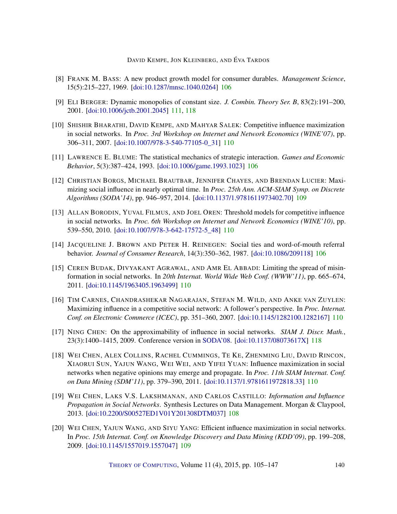- <span id="page-35-0"></span>[8] FRANK M. BASS: A new product growth model for consumer durables. *Management Science*, 15(5):215–227, 1969. [\[doi:10.1287/mnsc.1040.0264\]](http://dx.doi.org/10.1287/mnsc.1040.0264) [106](#page-1-1)
- <span id="page-35-11"></span>[9] ELI BERGER: Dynamic monopolies of constant size. *J. Combin. Theory Ser. B*, 83(2):191–200, 2001. [\[doi:10.1006/jctb.2001.2045\]](http://dx.doi.org/10.1006/jctb.2001.2045) [111,](#page-6-1) [118](#page-13-1)
- <span id="page-35-6"></span>[10] SHISHIR BHARATHI, DAVID KEMPE, AND MAHYAR SALEK: Competitive influence maximization in social networks. In *Proc. 3rd Workshop on Internet and Network Economics (WINE'07)*, pp. 306–311, 2007. [\[doi:10.1007/978-3-540-77105-0\\_31\]](http://dx.doi.org/10.1007/978-3-540-77105-0_31) [110](#page-5-0)
- <span id="page-35-2"></span>[11] LAWRENCE E. BLUME: The statistical mechanics of strategic interaction. *Games and Economic Behavior*, 5(3):387–424, 1993. [\[doi:10.1006/game.1993.1023\]](http://dx.doi.org/10.1006/game.1993.1023) [106](#page-1-1)
- <span id="page-35-5"></span>[12] CHRISTIAN BORGS, MICHAEL BRAUTBAR, JENNIFER CHAYES, AND BRENDAN LUCIER: Maximizing social influence in nearly optimal time. In *Proc. 25th Ann. ACM-SIAM Symp. on Discrete Algorithms (SODA'14)*, pp. 946–957, 2014. [\[doi:10.1137/1.9781611973402.70\]](http://dx.doi.org/10.1137/1.9781611973402.70) [109](#page-4-0)
- <span id="page-35-7"></span>[13] ALLAN BORODIN, YUVAL FILMUS, AND JOEL OREN: Threshold models for competitive influence in social networks. In *Proc. 6th Workshop on Internet and Network Economics (WINE'10)*, pp. 539–550, 2010. [\[doi:10.1007/978-3-642-17572-5\\_48\]](http://dx.doi.org/10.1007/978-3-642-17572-5_48) [110](#page-5-0)
- <span id="page-35-1"></span>[14] JACQUELINE J. BROWN AND PETER H. REINEGEN: Social ties and word-of-mouth referral behavior. *Journal of Consumer Research*, 14(3):350–362, 1987. [\[doi:10.1086/209118\]](http://dx.doi.org/10.1086/209118) [106](#page-1-1)
- <span id="page-35-9"></span>[15] CEREN BUDAK, DIVYAKANT AGRAWAL, AND AMR EL ABBADI: Limiting the spread of misinformation in social networks. In *20th Internat. World Wide Web Conf. (WWW'11)*, pp. 665–674, 2011. [\[doi:10.1145/1963405.1963499\]](http://dx.doi.org/10.1145/1963405.1963499) [110](#page-5-0)
- <span id="page-35-8"></span>[16] TIM CARNES, CHANDRASHEKAR NAGARAJAN, STEFAN M. WILD, AND ANKE VAN ZUYLEN: Maximizing influence in a competitive social network: A follower's perspective. In *Proc. Internat. Conf. on Electronic Commerce (ICEC)*, pp. 351–360, 2007. [\[doi:10.1145/1282100.1282167\]](http://dx.doi.org/10.1145/1282100.1282167) [110](#page-5-0)
- <span id="page-35-12"></span>[17] NING CHEN: On the approximability of influence in social networks. *SIAM J. Discr. Math.*, 23(3):1400–1415, 2009. Conference version in [SODA'08.](http://dl.acm.org/citation.cfm?id=1347082.1347195) [\[doi:10.1137/08073617X\]](http://dx.doi.org/10.1137/08073617X) [118](#page-13-1)
- <span id="page-35-10"></span>[18] WEI CHEN, ALEX COLLINS, RACHEL CUMMINGS, TE KE, ZHENMING LIU, DAVID RINCON, XIAORUI SUN, YAJUN WANG, WEI WEI, AND YIFEI YUAN: Influence maximization in social networks when negative opinions may emerge and propagate. In *Proc. 11th SIAM Internat. Conf. on Data Mining (SDM'11)*, pp. 379–390, 2011. [\[doi:10.1137/1.9781611972818.33\]](http://dx.doi.org/10.1137/1.9781611972818.33) [110](#page-5-0)
- <span id="page-35-3"></span>[19] WEI CHEN, LAKS V.S. LAKSHMANAN, AND CARLOS CASTILLO: *Information and Influence Propagation in Social Networks*. Synthesis Lectures on Data Management. Morgan & Claypool, 2013. [\[doi:10.2200/S00527ED1V01Y201308DTM037\]](http://dx.doi.org/10.2200/S00527ED1V01Y201308DTM037) [108](#page-3-1)
- <span id="page-35-4"></span>[20] WEI CHEN, YAJUN WANG, AND SIYU YANG: Efficient influence maximization in social networks. In *Proc. 15th Internat. Conf. on Knowledge Discovery and Data Mining (KDD'09)*, pp. 199–208, 2009. [\[doi:10.1145/1557019.1557047\]](http://dx.doi.org/10.1145/1557019.1557047) [109](#page-4-0)

THEORY OF C[OMPUTING](http://dx.doi.org/10.4086/toc), Volume 11 (4), 2015, pp. 105–147 140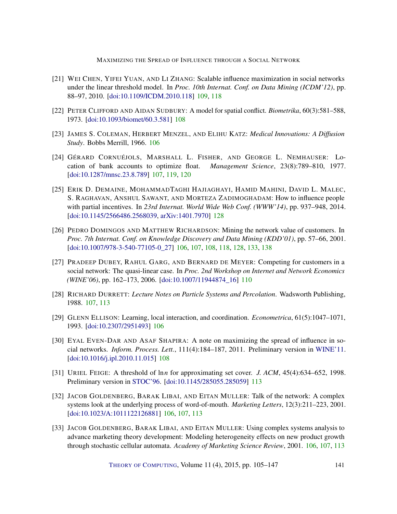- <span id="page-36-9"></span>[21] WEI CHEN, YIFEI YUAN, AND LI ZHANG: Scalable influence maximization in social networks under the linear threshold model. In *Proc. 10th Internat. Conf. on Data Mining (ICDM'12)*, pp. 88–97, 2010. [\[doi:10.1109/ICDM.2010.118\]](http://dx.doi.org/10.1109/ICDM.2010.118) [109,](#page-4-0) [118](#page-13-1)
- <span id="page-36-8"></span>[22] PETER CLIFFORD AND AIDAN SUDBURY: A model for spatial conflict. *Biometrika*, 60(3):581–588, 1973. [\[doi:10.1093/biomet/60.3.581\]](http://dx.doi.org/10.1093/biomet/60.3.581) [108](#page-3-1)
- <span id="page-36-0"></span>[23] JAMES S. COLEMAN, HERBERT MENZEL, AND ELIHU KATZ: *Medical Innovations: A Diffusion Study*. Bobbs Merrill, 1966. [106](#page-1-1)
- <span id="page-36-6"></span>[24] GÉRARD CORNUÉJOLS, MARSHALL L. FISHER, AND GEORGE L. NEMHAUSER: Location of bank accounts to optimize float. *Management Science*, 23(8):789–810, 1977. [\[doi:10.1287/mnsc.23.8.789\]](http://dx.doi.org/10.1287/mnsc.23.8.789) [107,](#page-2-1) [119,](#page-14-0) [120](#page-15-3)
- <span id="page-36-12"></span>[25] ERIK D. DEMAINE, MOHAMMADTAGHI HAJIAGHAYI, HAMID MAHINI, DAVID L. MALEC, S. RAGHAVAN, ANSHUL SAWANT, AND MORTEZA ZADIMOGHADAM: How to influence people with partial incentives. In *23rd Internat. World Wide Web Conf. (WWW'14)*, pp. 937–948, 2014. [\[doi:10.1145/2566486.2568039,](http://dx.doi.org/10.1145/2566486.2568039) [arXiv:1401.7970\]](http://arxiv.org/abs/1401.7970) [128](#page-23-3)
- <span id="page-36-1"></span>[26] PEDRO DOMINGOS AND MATTHEW RICHARDSON: Mining the network value of customers. In *Proc. 7th Internat. Conf. on Knowledge Discovery and Data Mining (KDD'01)*, pp. 57–66, 2001. [\[doi:10.1007/978-3-540-77105-0\\_27\]](http://dx.doi.org/10.1007/978-3-540-77105-0_27) [106,](#page-1-1) [107,](#page-2-1) [108,](#page-3-1) [118,](#page-13-1) [128,](#page-23-3) [133,](#page-28-1) [138](#page-33-1)
- <span id="page-36-10"></span>[27] PRADEEP DUBEY, RAHUL GARG, AND BERNARD DE MEYER: Competing for customers in a social network: The quasi-linear case. In *Proc. 2nd Workshop on Internet and Network Economics (WINE'06)*, pp. 162–173, 2006. [\[doi:10.1007/11944874\\_16\]](http://dx.doi.org/10.1007/11944874_16) [110](#page-5-0)
- <span id="page-36-5"></span>[28] RICHARD DURRETT: *Lecture Notes on Particle Systems and Percolation*. Wadsworth Publishing, 1988. [107,](#page-2-1) [113](#page-8-1)
- <span id="page-36-4"></span>[29] GLENN ELLISON: Learning, local interaction, and coordination. *Econometrica*, 61(5):1047–1071, 1993. [\[doi:10.2307/2951493\]](http://dx.doi.org/10.2307/2951493) [106](#page-1-1)
- <span id="page-36-7"></span>[30] EYAL EVEN-DAR AND ASAF SHAPIRA: A note on maximizing the spread of influence in social networks. *Inform. Process. Lett.*, 111(4):184–187, 2011. Preliminary version in [WINE'11.](http://dx.doi.org/10.1007/978-3-540-77105-0_27) [\[doi:10.1016/j.ipl.2010.11.015\]](http://dx.doi.org/10.1016/j.ipl.2010.11.015) [108](#page-3-1)
- <span id="page-36-11"></span>[31] URIEL FEIGE: A threshold of ln*n* for approximating set cover. *J. ACM*, 45(4):634–652, 1998. Preliminary version in [STOC'96.](http://doi.acm.org/10.1145/237814.237977) [\[doi:10.1145/285055.285059\]](http://dx.doi.org/10.1145/285055.285059) [113](#page-8-1)
- <span id="page-36-3"></span>[32] JACOB GOLDENBERG, BARAK LIBAI, AND EITAN MULLER: Talk of the network: A complex systems look at the underlying process of word-of-mouth. *Marketing Letters*, 12(3):211–223, 2001. [\[doi:10.1023/A:1011122126881\]](http://dx.doi.org/10.1023/A:1011122126881) [106,](#page-1-1) [107,](#page-2-1) [113](#page-8-1)
- <span id="page-36-2"></span>[33] JACOB GOLDENBERG, BARAK LIBAI, AND EITAN MULLER: Using complex systems analysis to advance marketing theory development: Modeling heterogeneity effects on new product growth through stochastic cellular automata. *Academy of Marketing Science Review*, 2001. [106,](#page-1-1) [107,](#page-2-1) [113](#page-8-1)

THEORY OF C[OMPUTING](http://dx.doi.org/10.4086/toc), Volume 11 (4), 2015, pp. 105–147 141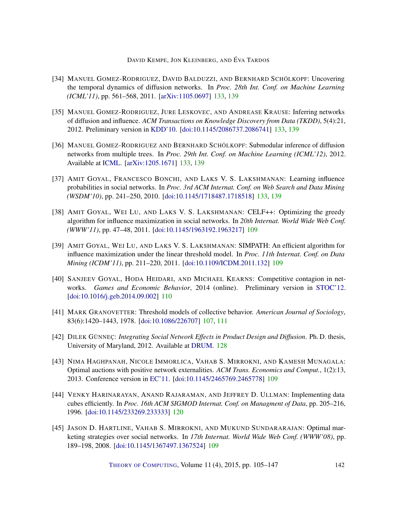- <span id="page-37-8"></span>[34] MANUEL GOMEZ-RODRIGUEZ, DAVID BALDUZZI, AND BERNHARD SCHÖLKOPF: Uncovering the temporal dynamics of diffusion networks. In *Proc. 28th Int. Conf. on Machine Learning (ICML'11)*, pp. 561–568, 2011. [\[arXiv:1105.0697\]](http://arxiv.org/abs/1105.0697) [133,](#page-28-1) [139](#page-34-7)
- <span id="page-37-9"></span>[35] MANUEL GOMEZ-RODRIGUEZ, JURE LESKOVEC, AND ANDREASE KRAUSE: Inferring networks of diffusion and influence. *ACM Transactions on Knowledge Discovery from Data (TKDD)*, 5(4):21, 2012. Preliminary version in [KDD'10.](http://doi.acm.org/10.1145/1835804.1835933) [\[doi:10.1145/2086737.2086741\]](http://dx.doi.org/10.1145/2086737.2086741) [133,](#page-28-1) [139](#page-34-7)
- <span id="page-37-10"></span>[36] MANUEL GOMEZ-RODRIGUEZ AND BERNHARD SCHÖLKOPF: Submodular inference of diffusion networks from multiple trees. In *Proc. 29th Int. Conf. on Machine Learning (ICML'12)*, 2012. Available at [ICML.](http://icml.cc/2012/papers/281.pdf) [\[arXiv:1205.1671\]](http://arxiv.org/abs/1205.1671) [133,](#page-28-1) [139](#page-34-7)
- <span id="page-37-11"></span>[37] AMIT GOYAL, FRANCESCO BONCHI, AND LAKS V. S. LAKSHMANAN: Learning influence probabilities in social networks. In *Proc. 3rd ACM Internat. Conf. on Web Search and Data Mining (WSDM'10)*, pp. 241–250, 2010. [\[doi:10.1145/1718487.1718518\]](http://dx.doi.org/10.1145/1718487.1718518) [133,](#page-28-1) [139](#page-34-7)
- <span id="page-37-1"></span>[38] AMIT GOYAL, WEI LU, AND LAKS V. S. LAKSHMANAN: CELF++: Optimizing the greedy algorithm for influence maximization in social networks. In *20th Internat. World Wide Web Conf. (WWW'11)*, pp. 47–48, 2011. [\[doi:10.1145/1963192.1963217\]](http://dx.doi.org/10.1145/1963192.1963217) [109](#page-4-0)
- <span id="page-37-2"></span>[39] AMIT GOYAL, WEI LU, AND LAKS V. S. LAKSHMANAN: SIMPATH: An efficient algorithm for influence maximization under the linear threshold model. In *Proc. 11th Internat. Conf. on Data Mining (ICDM'11)*, pp. 211–220, 2011. [\[doi:10.1109/ICDM.2011.132\]](http://dx.doi.org/10.1109/ICDM.2011.132) [109](#page-4-0)
- <span id="page-37-5"></span>[40] SANJEEV GOYAL, HODA HEIDARI, AND MICHAEL KEARNS: Competitive contagion in networks. *Games and Economic Behavior*, 2014 (online). Preliminary version in [STOC'12.](http://dx.doi.org/10.1145/2213977.2214046) [\[doi:10.1016/j.geb.2014.09.002\]](http://dx.doi.org/10.1016/j.geb.2014.09.002) [110](#page-5-0)
- <span id="page-37-0"></span>[41] MARK GRANOVETTER: Threshold models of collective behavior. *American Journal of Sociology*, 83(6):1420–1443, 1978. [\[doi:10.1086/226707\]](http://dx.doi.org/10.1086/226707) [107,](#page-2-1) [111](#page-6-1)
- <span id="page-37-7"></span>[42] DILEK GÜNNEÇ: *Integrating Social Network Effects in Product Design and Diffusion*. Ph. D. thesis, University of Maryland, 2012. Available at [DRUM.](http://drum.lib.umd.edu/handle/1903/13103) [128](#page-23-3)
- <span id="page-37-3"></span>[43] NIMA HAGHPANAH, NICOLE IMMORLICA, VAHAB S. MIRROKNI, AND KAMESH MUNAGALA: Optimal auctions with positive network externalities. *ACM Trans. Economics and Comput.*, 1(2):13, 2013. Conference version in [EC'11.](http://dx.doi.org/10.1145/1993574.1993577) [\[doi:10.1145/2465769.2465778\]](http://dx.doi.org/10.1145/2465769.2465778) [109](#page-4-0)
- <span id="page-37-6"></span>[44] VENKY HARINARAYAN, ANAND RAJARAMAN, AND JEFFREY D. ULLMAN: Implementing data cubes efficiently. In *Proc. 16th ACM SIGMOD Internat. Conf. on Managment of Data*, pp. 205–216, 1996. [\[doi:10.1145/233269.233333\]](http://dx.doi.org/10.1145/233269.233333) [120](#page-15-3)
- <span id="page-37-4"></span>[45] JASON D. HARTLINE, VAHAB S. MIRROKNI, AND MUKUND SUNDARARAJAN: Optimal marketing strategies over social networks. In *17th Internat. World Wide Web Conf. (WWW'08)*, pp. 189–198, 2008. [\[doi:10.1145/1367497.1367524\]](http://dx.doi.org/10.1145/1367497.1367524) [109](#page-4-0)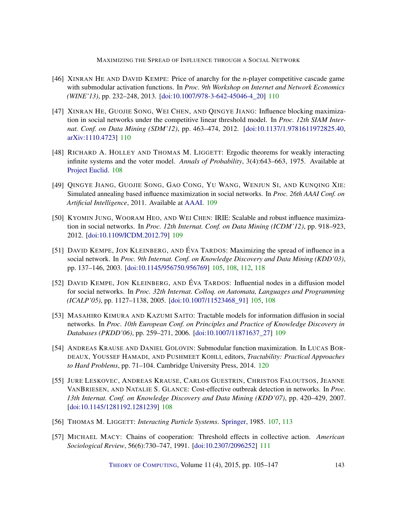- <span id="page-38-8"></span>[46] XINRAN HE AND DAVID KEMPE: Price of anarchy for the *n*-player competitive cascade game with submodular activation functions. In *Proc. 9th Workshop on Internet and Network Economics (WINE'13)*, pp. 232–248, 2013. [\[doi:10.1007/978-3-642-45046-4\\_20\]](http://dx.doi.org/10.1007/978-3-642-45046-4_20) [110](#page-5-0)
- <span id="page-38-9"></span>[47] XINRAN HE, GUOJIE SONG, WEI CHEN, AND QINGYE JIANG: Influence blocking maximization in social networks under the competitive linear threshold model. In *Proc. 12th SIAM Internat. Conf. on Data Mining (SDM'12)*, pp. 463–474, 2012. [\[doi:10.1137/1.9781611972825.40,](http://dx.doi.org/10.1137/1.9781611972825.40) [arXiv:1110.4723\]](http://arxiv.org/abs/1110.4723) [110](#page-5-0)
- <span id="page-38-3"></span>[48] RICHARD A. HOLLEY AND THOMAS M. LIGGETT: Ergodic theorems for weakly interacting infinite systems and the voter model. *Annals of Probability*, 3(4):643–663, 1975. Available at [Project Euclid.](http://projecteuclid.org/euclid.aop/1176996306) [108](#page-3-1)
- <span id="page-38-7"></span>[49] QINGYE JIANG, GUOJIE SONG, GAO CONG, YU WANG, WENJUN SI, AND KUNQING XIE: Simulated annealing based influence maximization in social networks. In *Proc. 26th AAAI Conf. on Artificial Intelligence*, 2011. Available at [AAAI.](http://www.aaai.org/ocs/index.php/AAAI/AAAI11/paper/view/3670) [109](#page-4-0)
- <span id="page-38-6"></span>[50] KYOMIN JUNG, WOORAM HEO, AND WEI CHEN: IRIE: Scalable and robust influence maximization in social networks. In *Proc. 12th Internat. Conf. on Data Mining (ICDM'12)*, pp. 918–923, 2012. [\[doi:10.1109/ICDM.2012.79\]](http://dx.doi.org/10.1109/ICDM.2012.79) [109](#page-4-0)
- <span id="page-38-0"></span>[51] DAVID KEMPE, JON KLEINBERG, AND ÉVA TARDOS: Maximizing the spread of influence in a social network. In *Proc. 9th Internat. Conf. on Knowledge Discovery and Data Mining (KDD'03)*, pp. 137–146, 2003. [\[doi:10.1145/956750.956769\]](http://dx.doi.org/10.1145/956750.956769) [105,](#page-0-1) [108,](#page-3-1) [112,](#page-7-1) [118](#page-13-1)
- <span id="page-38-1"></span>[52] DAVID KEMPE, JON KLEINBERG, AND ÉVA TARDOS: Influential nodes in a diffusion model for social networks. In *Proc. 32th Internat. Colloq. on Automata, Languages and Programming (ICALP'05)*, pp. 1127–1138, 2005. [\[doi:10.1007/11523468\\_91\]](http://dx.doi.org/10.1007/11523468_91) [105,](#page-0-1) [108](#page-3-1)
- <span id="page-38-5"></span>[53] MASAHIRO KIMURA AND KAZUMI SAITO: Tractable models for information diffusion in social networks. In *Proc. 10th European Conf. on Principles and Practice of Knowledge Discovery in Databases (PKDD'06)*, pp. 259–271, 2006. [\[doi:10.1007/11871637\\_27\]](http://dx.doi.org/10.1007/11871637_27) [109](#page-4-0)
- <span id="page-38-11"></span>[54] ANDREAS KRAUSE AND DANIEL GOLOVIN: Submodular function maximization. In LUCAS BOR-DEAUX, YOUSSEF HAMADI, AND PUSHMEET KOHLI, editors, *Tractability: Practical Approaches to Hard Problems*, pp. 71–104. Cambridge University Press, 2014. [120](#page-15-3)
- <span id="page-38-4"></span>[55] JURE LESKOVEC, ANDREAS KRAUSE, CARLOS GUESTRIN, CHRISTOS FALOUTSOS, JEANNE VANBRIESEN, AND NATALIE S. GLANCE: Cost-effective outbreak detection in networks. In *Proc. 13th Internat. Conf. on Knowledge Discovery and Data Mining (KDD'07)*, pp. 420–429, 2007. [\[doi:10.1145/1281192.1281239\]](http://dx.doi.org/10.1145/1281192.1281239) [108](#page-3-1)
- <span id="page-38-2"></span>[56] THOMAS M. LIGGETT: *Interacting Particle Systems*. [Springer,](http://www.springer.com/gp/book/9783540226178) 1985. [107,](#page-2-1) [113](#page-8-1)
- <span id="page-38-10"></span>[57] MICHAEL MACY: Chains of cooperation: Threshold effects in collective action. *American Sociological Review*, 56(6):730–747, 1991. [\[doi:10.2307/2096252\]](http://dx.doi.org/10.2307/2096252) [111](#page-6-1)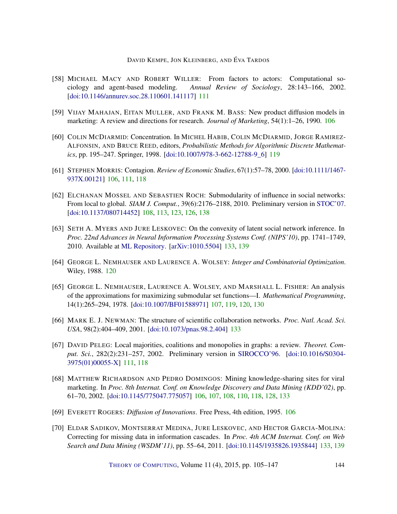- <span id="page-39-6"></span>[58] MICHAEL MACY AND ROBERT WILLER: From factors to actors: Computational sociology and agent-based modeling. *Annual Review of Sociology*, 28:143–166, 2002. [\[doi:10.1146/annurev.soc.28.110601.141117\]](http://dx.doi.org/10.1146/annurev.soc.28.110601.141117) [111](#page-6-1)
- <span id="page-39-1"></span>[59] VIJAY MAHAJAN, EITAN MULLER, AND FRANK M. BASS: New product diffusion models in marketing: A review and directions for research. *Journal of Marketing*, 54(1):1–26, 1990. [106](#page-1-1)
- <span id="page-39-8"></span>[60] COLIN MCDIARMID: Concentration. In MICHEL HABIB, COLIN MCDIARMID, JORGE RAMIREZ-ALFONSIN, AND BRUCE REED, editors, *Probabilistic Methods for Algorithmic Discrete Mathematics*, pp. 195–247. Springer, 1998. [\[doi:10.1007/978-3-662-12788-9\\_6\]](http://dx.doi.org/10.1007/978-3-662-12788-9_6) [119](#page-14-0)
- <span id="page-39-3"></span>[61] STEPHEN MORRIS: Contagion. *Review of Economic Studies*, 67(1):57–78, 2000. [\[doi:10.1111/1467-](http://dx.doi.org/10.1111/1467-937X.00121) [937X.00121\]](http://dx.doi.org/10.1111/1467-937X.00121) [106,](#page-1-1) [111,](#page-6-1) [118](#page-13-1)
- <span id="page-39-5"></span>[62] ELCHANAN MOSSEL AND SEBASTIEN ROCH: Submodularity of influence in social networks: From local to global. *SIAM J. Comput.*, 39(6):2176–2188, 2010. Preliminary version in [STOC'07.](http://dx.doi.org/10.1145/1250790.1250811) [\[doi:10.1137/080714452\]](http://dx.doi.org/10.1137/080714452) [108,](#page-3-1) [113,](#page-8-1) [123,](#page-18-1) [126,](#page-21-3) [138](#page-33-1)
- <span id="page-39-10"></span>[63] SETH A. MYERS AND JURE LESKOVEC: On the convexity of latent social network inference. In *Proc. 22nd Advances in Neural Information Processing Systems Conf. (NIPS'10)*, pp. 1741–1749, 2010. Available at [ML Repository.](http://machinelearning.wustl.edu/mlpapers/papers/NIPS2010_1257) [\[arXiv:1010.5504\]](http://arxiv.org/abs/1010.5504) [133,](#page-28-1) [139](#page-34-7)
- <span id="page-39-9"></span>[64] GEORGE L. NEMHAUSER AND LAURENCE A. WOLSEY: *Integer and Combinatorial Optimization*. Wiley, 1988. [120](#page-15-3)
- <span id="page-39-4"></span>[65] GEORGE L. NEMHAUSER, LAURENCE A. WOLSEY, AND MARSHALL L. FISHER: An analysis of the approximations for maximizing submodular set functions—I. *Mathematical Programming*, 14(1):265–294, 1978. [\[doi:10.1007/BF01588971\]](http://dx.doi.org/10.1007/BF01588971) [107,](#page-2-1) [119,](#page-14-0) [120,](#page-15-3) [130](#page-25-0)
- <span id="page-39-12"></span>[66] MARK E. J. NEWMAN: The structure of scientific collaboration networks. *Proc. Natl. Acad. Sci. USA*, 98(2):404–409, 2001. [\[doi:10.1073/pnas.98.2.404\]](http://dx.doi.org/10.1073/pnas.98.2.404) [133](#page-28-1)
- <span id="page-39-7"></span>[67] DAVID PELEG: Local majorities, coalitions and monopolies in graphs: a review. *Theoret. Comput. Sci.*, 282(2):231–257, 2002. Preliminary version in [SIROCCO'96.](http://citeseerx.ist.psu.edu/viewdoc/summary?doi=10.1.1.56.5513) [\[doi:10.1016/S0304-](http://dx.doi.org/10.1016/S0304-3975(01)00055-X) [3975\(01\)00055-X\]](http://dx.doi.org/10.1016/S0304-3975(01)00055-X) [111,](#page-6-1) [118](#page-13-1)
- <span id="page-39-2"></span>[68] MATTHEW RICHARDSON AND PEDRO DOMINGOS: Mining knowledge-sharing sites for viral marketing. In *Proc. 8th Internat. Conf. on Knowledge Discovery and Data Mining (KDD'02)*, pp. 61–70, 2002. [\[doi:10.1145/775047.775057\]](http://dx.doi.org/10.1145/775047.775057) [106,](#page-1-1) [107,](#page-2-1) [108,](#page-3-1) [110,](#page-5-0) [118,](#page-13-1) [128,](#page-23-3) [133](#page-28-1)
- <span id="page-39-0"></span>[69] EVERETT ROGERS: *Diffusion of Innovations*. Free Press, 4th edition, 1995. [106](#page-1-1)
- <span id="page-39-11"></span>[70] ELDAR SADIKOV, MONTSERRAT MEDINA, JURE LESKOVEC, AND HECTOR GARCIA-MOLINA: Correcting for missing data in information cascades. In *Proc. 4th ACM Internat. Conf. on Web Search and Data Mining (WSDM'11)*, pp. 55–64, 2011. [\[doi:10.1145/1935826.1935844\]](http://dx.doi.org/10.1145/1935826.1935844) [133,](#page-28-1) [139](#page-34-7)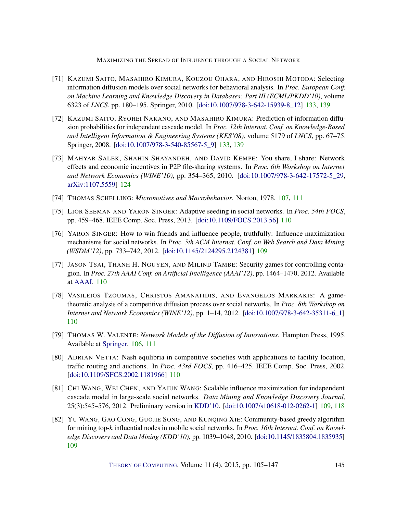- <span id="page-40-10"></span>[71] KAZUMI SAITO, MASAHIRO KIMURA, KOUZOU OHARA, AND HIROSHI MOTODA: Selecting information diffusion models over social networks for behavioral analysis. In *Proc. European Conf. on Machine Learning and Knowledge Discovery in Databases: Part III (ECML/PKDD'10)*, volume 6323 of *LNCS*, pp. 180–195. Springer, 2010. [\[doi:10.1007/978-3-642-15939-8\\_12\]](http://dx.doi.org/10.1007/978-3-642-15939-8_12) [133,](#page-28-1) [139](#page-34-7)
- <span id="page-40-11"></span>[72] KAZUMI SAITO, RYOHEI NAKANO, AND MASAHIRO KIMURA: Prediction of information diffusion probabilities for independent cascade model. In *Proc. 12th Internat. Conf. on Knowledge-Based and Intelligent Information & Engineering Systems (KES'08)*, volume 5179 of *LNCS*, pp. 67–75. Springer, 2008. [\[doi:10.1007/978-3-540-85567-5\\_9\]](http://dx.doi.org/10.1007/978-3-540-85567-5_9) [133,](#page-28-1) [139](#page-34-7)
- <span id="page-40-9"></span>[73] MAHYAR SALEK, SHAHIN SHAYANDEH, AND DAVID KEMPE: You share, I share: Network effects and economic incentives in P2P file-sharing systems. In *Proc. 6th Workshop on Internet and Network Economics (WINE'10)*, pp. 354–365, 2010. [\[doi:10.1007/978-3-642-17572-5\\_29,](http://dx.doi.org/10.1007/978-3-642-17572-5_29) [arXiv:1107.5559\]](http://arxiv.org/abs/1107.5559) [124](#page-19-0)
- <span id="page-40-1"></span>[74] THOMAS SCHELLING: *Micromotives and Macrobehavior*. Norton, 1978. [107,](#page-2-1) [111](#page-6-1)
- <span id="page-40-5"></span>[75] LIOR SEEMAN AND YARON SINGER: Adaptive seeding in social networks. In *Proc. 54th FOCS*, pp. 459–468. IEEE Comp. Soc. Press, 2013. [\[doi:10.1109/FOCS.2013.56\]](http://dx.doi.org/10.1109/FOCS.2013.56) [110](#page-5-0)
- <span id="page-40-4"></span>[76] YARON SINGER: How to win friends and influence people, truthfully: Influence maximization mechanisms for social networks. In *Proc. 5th ACM Internat. Conf. on Web Search and Data Mining (WSDM'12)*, pp. 733–742, 2012. [\[doi:10.1145/2124295.2124381\]](http://dx.doi.org/10.1145/2124295.2124381) [109](#page-4-0)
- <span id="page-40-8"></span>[77] JASON TSAI, THANH H. NGUYEN, AND MILIND TAMBE: Security games for controlling contagion. In *Proc. 27th AAAI Conf. on Artificial Intelligence (AAAI'12)*, pp. 1464–1470, 2012. Available at [AAAI.](http://www.aaai.org/ocs/index.php/AAAI/AAAI12/paper/view/5014) [110](#page-5-0)
- <span id="page-40-6"></span>[78] VASILEIOS TZOUMAS, CHRISTOS AMANATIDIS, AND EVANGELOS MARKAKIS: A gametheoretic analysis of a competitive diffusion process over social networks. In *Proc. 8th Workshop on Internet and Network Economics (WINE'12)*, pp. 1–14, 2012. [\[doi:10.1007/978-3-642-35311-6\\_1\]](http://dx.doi.org/10.1007/978-3-642-35311-6_1) [110](#page-5-0)
- <span id="page-40-0"></span>[79] THOMAS W. VALENTE: *Network Models of the Diffusion of Innovations*. Hampton Press, 1995. Available at [Springer.](http://dx.doi.org/10.1007/BF00240425) [106,](#page-1-1) [111](#page-6-1)
- <span id="page-40-7"></span>[80] ADRIAN VETTA: Nash equlibria in competitive societies with applications to facility location, traffic routing and auctions. In *Proc. 43rd FOCS*, pp. 416–425. IEEE Comp. Soc. Press, 2002. [\[doi:10.1109/SFCS.2002.1181966\]](http://dx.doi.org/10.1109/SFCS.2002.1181966) [110](#page-5-0)
- <span id="page-40-2"></span>[81] CHI WANG, WEI CHEN, AND YAJUN WANG: Scalable influence maximization for independent cascade model in large-scale social networks. *Data Mining and Knowledge Discovery Journal*, 25(3):545–576, 2012. Preliminary version in [KDD'10.](http://dx.doi.org/10.1145/1835804.1835934) [\[doi:10.1007/s10618-012-0262-1\]](http://dx.doi.org/10.1007/s10618-012-0262-1) [109,](#page-4-0) [118](#page-13-1)
- <span id="page-40-3"></span>[82] YU WANG, GAO CONG, GUOJIE SONG, AND KUNQING XIE: Community-based greedy algorithm for mining top-*k* influential nodes in mobile social networks. In *Proc. 16th Internat. Conf. on Knowledge Discovery and Data Mining (KDD'10)*, pp. 1039–1048, 2010. [\[doi:10.1145/1835804.1835935\]](http://dx.doi.org/10.1145/1835804.1835935) [109](#page-4-0)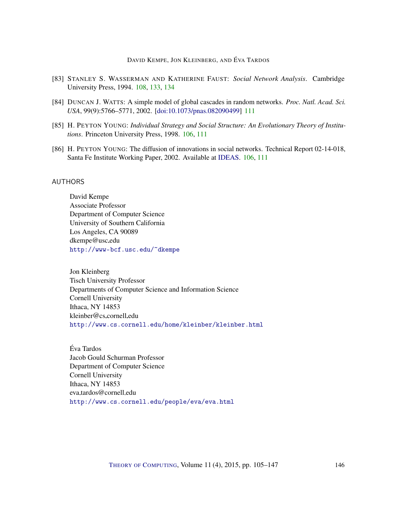- <span id="page-41-5"></span>[83] STANLEY S. WASSERMAN AND KATHERINE FAUST: *Social Network Analysis*. Cambridge University Press, 1994. [108,](#page-3-1) [133,](#page-28-1) [134](#page-29-0)
- <span id="page-41-6"></span>[84] DUNCAN J. WATTS: A simple model of global cascades in random networks. *Proc. Natl. Acad. Sci. USA*, 99(9):5766–5771, 2002. [\[doi:10.1073/pnas.082090499\]](http://dx.doi.org/10.1073/pnas.082090499) [111](#page-6-1)
- <span id="page-41-3"></span>[85] H. PEYTON YOUNG: *Individual Strategy and Social Structure: An Evolutionary Theory of Institutions*. Princeton University Press, 1998. [106,](#page-1-1) [111](#page-6-1)
- <span id="page-41-4"></span>[86] H. PEYTON YOUNG: The diffusion of innovations in social networks. Technical Report 02-14-018, Santa Fe Institute Working Paper, 2002. Available at [IDEAS.](https://ideas.repec.org/p/jhu/papers/437.html) [106,](#page-1-1) [111](#page-6-1)

#### <span id="page-41-0"></span>AUTHORS

David Kempe Associate Professor Department of Computer Science University of Southern California Los Angeles, CA 90089 dkempe@usc.edu <http://www-bcf.usc.edu/~dkempe>

<span id="page-41-1"></span>Jon Kleinberg Tisch University Professor Departments of Computer Science and Information Science Cornell University Ithaca, NY 14853  $k$ leinber@cs.cornell.edu <http://www.cs.cornell.edu/home/kleinber/kleinber.html>

<span id="page-41-2"></span>Éva Tardos Jacob Gould Schurman Professor Department of Computer Science Cornell University Ithaca, NY 14853 eva.tardos@cornell.edu <http://www.cs.cornell.edu/people/eva/eva.html>